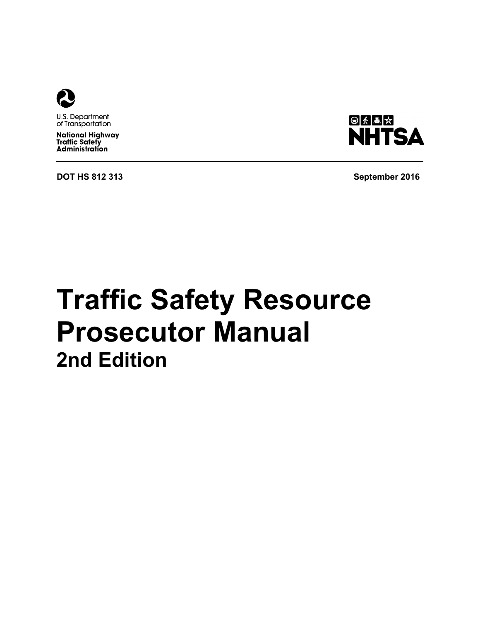

U.S. Department of Transportation

**National Highway<br>Traffic Safety Administration** 

**DOT HS 812 313 September 2016**



# **Traffic Safety Resource Prosecutor Manual 2nd Edition**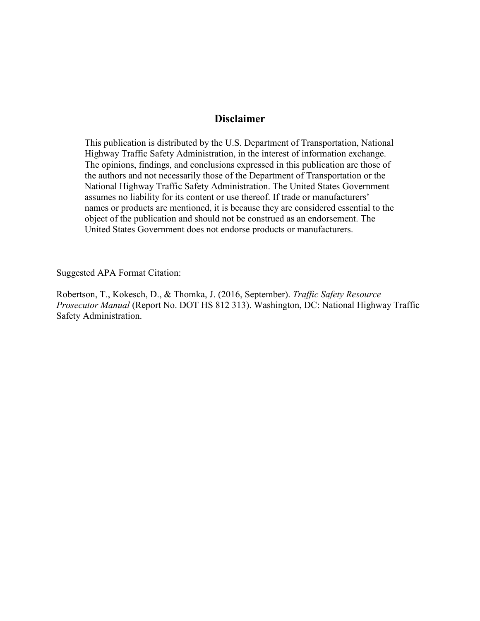#### **Disclaimer**

This publication is distributed by the U.S. Department of Transportation, National Highway Traffic Safety Administration, in the interest of information exchange. The opinions, findings, and conclusions expressed in this publication are those of the authors and not necessarily those of the Department of Transportation or the National Highway Traffic Safety Administration. The United States Government assumes no liability for its content or use thereof. If trade or manufacturers' names or products are mentioned, it is because they are considered essential to the object of the publication and should not be construed as an endorsement. The United States Government does not endorse products or manufacturers.

Suggested APA Format Citation:

Robertson, T., Kokesch, D., & Thomka, J. (2016, September). *Traffic Safety Resource Prosecutor Manual* (Report No. DOT HS 812 313). Washington, DC: National Highway Traffic Safety Administration.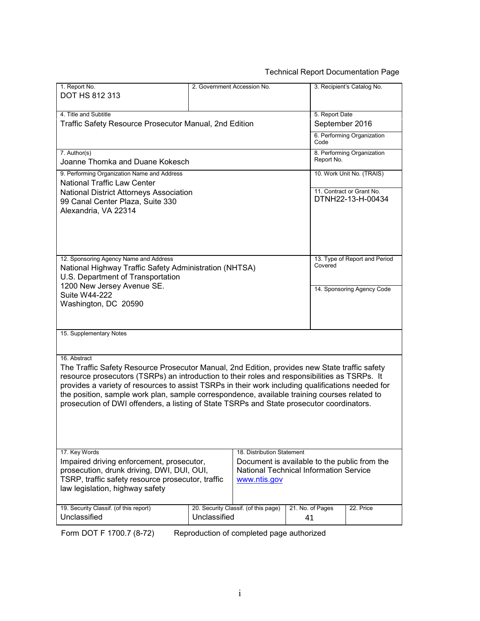#### Technical Report Documentation Page

| 1. Report No.                                                                                     | 2. Government Accession No. |                                               |                  | 3. Recipient's Catalog No.                     |  |
|---------------------------------------------------------------------------------------------------|-----------------------------|-----------------------------------------------|------------------|------------------------------------------------|--|
| DOT HS 812 313                                                                                    |                             |                                               |                  |                                                |  |
|                                                                                                   |                             |                                               |                  |                                                |  |
| 4. Title and Subtitle                                                                             |                             |                                               | 5. Report Date   |                                                |  |
| Traffic Safety Resource Prosecutor Manual, 2nd Edition                                            |                             |                                               | September 2016   |                                                |  |
|                                                                                                   |                             |                                               |                  |                                                |  |
|                                                                                                   |                             |                                               | Code             | 6. Performing Organization                     |  |
| 7. Author(s)                                                                                      |                             |                                               |                  | 8. Performing Organization                     |  |
| Joanne Thomka and Duane Kokesch                                                                   |                             |                                               | Report No.       |                                                |  |
|                                                                                                   |                             |                                               |                  |                                                |  |
| 9. Performing Organization Name and Address                                                       |                             |                                               |                  | 10. Work Unit No. (TRAIS)                      |  |
| <b>National Traffic Law Center</b>                                                                |                             |                                               |                  |                                                |  |
| National District Attorneys Association                                                           |                             |                                               |                  | 11. Contract or Grant No.<br>DTNH22-13-H-00434 |  |
| 99 Canal Center Plaza, Suite 330                                                                  |                             |                                               |                  |                                                |  |
| Alexandria, VA 22314                                                                              |                             |                                               |                  |                                                |  |
|                                                                                                   |                             |                                               |                  |                                                |  |
|                                                                                                   |                             |                                               |                  |                                                |  |
|                                                                                                   |                             |                                               |                  |                                                |  |
|                                                                                                   |                             |                                               |                  |                                                |  |
| 12. Sponsoring Agency Name and Address                                                            |                             |                                               |                  | 13. Type of Report and Period                  |  |
| National Highway Traffic Safety Administration (NHTSA)                                            |                             |                                               | Covered          |                                                |  |
| U.S. Department of Transportation                                                                 |                             |                                               |                  |                                                |  |
| 1200 New Jersey Avenue SE.                                                                        |                             |                                               |                  | 14. Sponsoring Agency Code                     |  |
| Suite W44-222                                                                                     |                             |                                               |                  |                                                |  |
| Washington, DC 20590                                                                              |                             |                                               |                  |                                                |  |
|                                                                                                   |                             |                                               |                  |                                                |  |
|                                                                                                   |                             |                                               |                  |                                                |  |
| 15. Supplementary Notes                                                                           |                             |                                               |                  |                                                |  |
|                                                                                                   |                             |                                               |                  |                                                |  |
|                                                                                                   |                             |                                               |                  |                                                |  |
| 16. Abstract                                                                                      |                             |                                               |                  |                                                |  |
| The Traffic Safety Resource Prosecutor Manual, 2nd Edition, provides new State traffic safety     |                             |                                               |                  |                                                |  |
| resource prosecutors (TSRPs) an introduction to their roles and responsibilities as TSRPs. It     |                             |                                               |                  |                                                |  |
| provides a variety of resources to assist TSRPs in their work including qualifications needed for |                             |                                               |                  |                                                |  |
| the position, sample work plan, sample correspondence, available training courses related to      |                             |                                               |                  |                                                |  |
| prosecution of DWI offenders, a listing of State TSRPs and State prosecutor coordinators.         |                             |                                               |                  |                                                |  |
|                                                                                                   |                             |                                               |                  |                                                |  |
|                                                                                                   |                             |                                               |                  |                                                |  |
|                                                                                                   |                             |                                               |                  |                                                |  |
|                                                                                                   |                             |                                               |                  |                                                |  |
| 17. Key Words                                                                                     |                             | 18. Distribution Statement                    |                  |                                                |  |
| Impaired driving enforcement, prosecutor,                                                         |                             | Document is available to the public from the  |                  |                                                |  |
| prosecution, drunk driving, DWI, DUI, OUI,                                                        |                             | <b>National Technical Information Service</b> |                  |                                                |  |
| TSRP, traffic safety resource prosecutor, traffic                                                 |                             | www.ntis.gov                                  |                  |                                                |  |
| law legislation, highway safety                                                                   |                             |                                               |                  |                                                |  |
|                                                                                                   |                             |                                               |                  |                                                |  |
| 19. Security Classif. (of this report)                                                            |                             | 20. Security Classif. (of this page)          | 21. No. of Pages | 22. Price                                      |  |
| Unclassified                                                                                      | Unclassified                |                                               | 41               |                                                |  |
|                                                                                                   |                             |                                               |                  |                                                |  |

Form DOT F 1700.7 (8-72) Reproduction of completed page authorized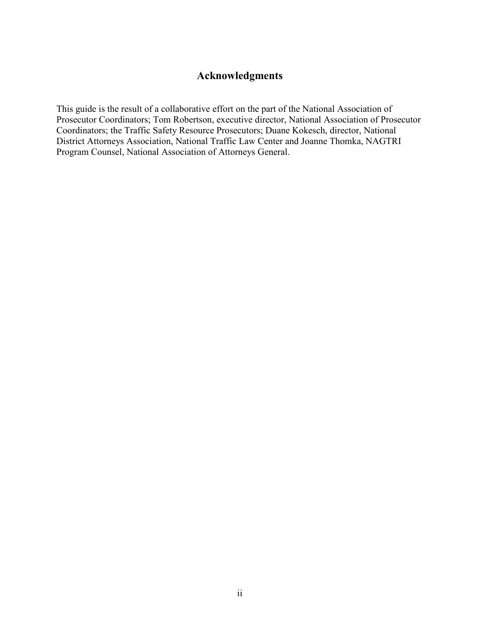### **Acknowledgments**

This guide is the result of a collaborative effort on the part of the National Association of Prosecutor Coordinators; Tom Robertson, executive director, National Association of Prosecutor Coordinators; the Traffic Safety Resource Prosecutors; Duane Kokesch, director, National District Attorneys Association, National Traffic Law Center and Joanne Thomka, NAGTRI Program Counsel, National Association of Attorneys General.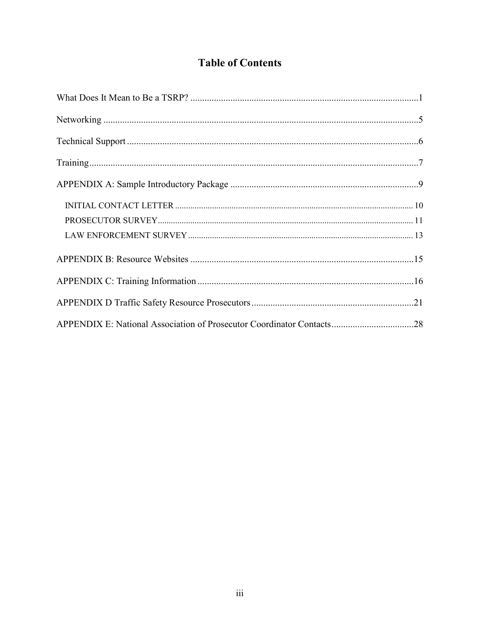# **Table of Contents**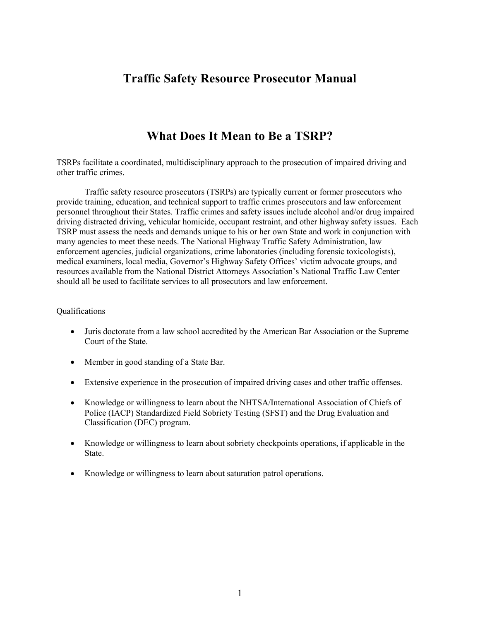# **Traffic Safety Resource Prosecutor Manual**

# **What Does It Mean to Be a TSRP?**

<span id="page-5-0"></span>TSRPs facilitate a coordinated, multidisciplinary approach to the prosecution of impaired driving and other traffic crimes.

Traffic safety resource prosecutors (TSRPs) are typically current or former prosecutors who provide training, education, and technical support to traffic crimes prosecutors and law enforcement personnel throughout their States. Traffic crimes and safety issues include alcohol and/or drug impaired driving distracted driving, vehicular homicide, occupant restraint, and other highway safety issues. Each TSRP must assess the needs and demands unique to his or her own State and work in conjunction with many agencies to meet these needs. The National Highway Traffic Safety Administration, law enforcement agencies, judicial organizations, crime laboratories (including forensic toxicologists), medical examiners, local media, Governor's Highway Safety Offices' victim advocate groups, and resources available from the National District Attorneys Association's National Traffic Law Center should all be used to facilitate services to all prosecutors and law enforcement.

#### Qualifications

- Juris doctorate from a law school accredited by the American Bar Association or the Supreme Court of the State.
- Member in good standing of a State Bar.
- Extensive experience in the prosecution of impaired driving cases and other traffic offenses.
- Knowledge or willingness to learn about the NHTSA/International Association of Chiefs of Police (IACP) Standardized Field Sobriety Testing (SFST) and the Drug Evaluation and Classification (DEC) program.
- Knowledge or willingness to learn about sobriety checkpoints operations, if applicable in the State.
- Knowledge or willingness to learn about saturation patrol operations.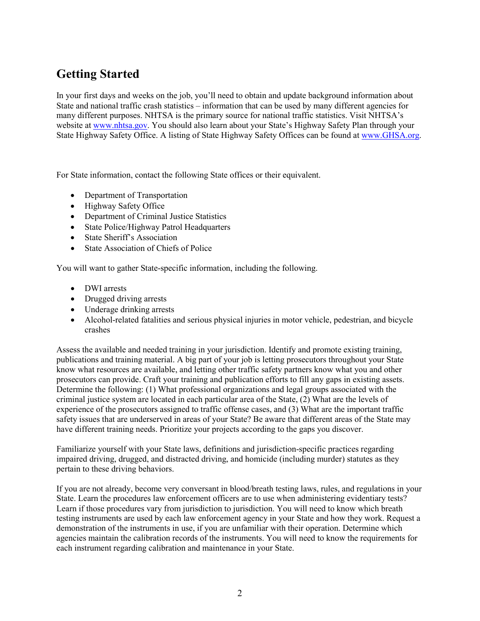# **Getting Started**

In your first days and weeks on the job, you'll need to obtain and update background information about State and national traffic crash statistics – information that can be used by many different agencies for many different purposes. NHTSA is the primary source for national traffic statistics. Visit NHTSA's website at [www.nhtsa.gov.](http://www.nhtsa.gov/) You should also learn about your State's Highway Safety Plan through your State Highway Safety Office. A listing of State Highway Safety Offices can be found at [www.GHSA.org.](http://www.ghsa.org/)

For State information, contact the following State offices or their equivalent.

- Department of Transportation
- Highway Safety Office
- Department of Criminal Justice Statistics
- State Police/Highway Patrol Headquarters
- State Sheriff's Association
- State Association of Chiefs of Police

You will want to gather State-specific information, including the following.

- DWI arrests
- Drugged driving arrests
- Underage drinking arrests
- Alcohol-related fatalities and serious physical injuries in motor vehicle, pedestrian, and bicycle crashes

Assess the available and needed training in your jurisdiction. Identify and promote existing training, publications and training material. A big part of your job is letting prosecutors throughout your State know what resources are available, and letting other traffic safety partners know what you and other prosecutors can provide. Craft your training and publication efforts to fill any gaps in existing assets. Determine the following: (1) What professional organizations and legal groups associated with the criminal justice system are located in each particular area of the State, (2) What are the levels of experience of the prosecutors assigned to traffic offense cases, and (3) What are the important traffic safety issues that are underserved in areas of your State? Be aware that different areas of the State may have different training needs. Prioritize your projects according to the gaps you discover.

Familiarize yourself with your State laws, definitions and jurisdiction-specific practices regarding impaired driving, drugged, and distracted driving, and homicide (including murder) statutes as they pertain to these driving behaviors.

If you are not already, become very conversant in blood/breath testing laws, rules, and regulations in your State. Learn the procedures law enforcement officers are to use when administering evidentiary tests? Learn if those procedures vary from jurisdiction to jurisdiction. You will need to know which breath testing instruments are used by each law enforcement agency in your State and how they work. Request a demonstration of the instruments in use, if you are unfamiliar with their operation. Determine which agencies maintain the calibration records of the instruments. You will need to know the requirements for each instrument regarding calibration and maintenance in your State.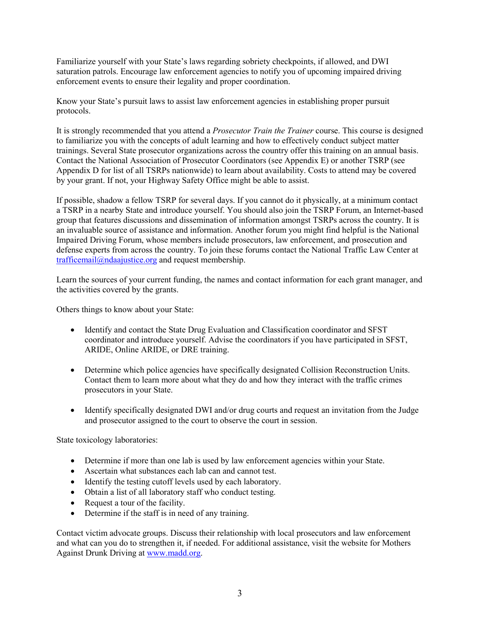Familiarize yourself with your State's laws regarding sobriety checkpoints, if allowed, and DWI saturation patrols. Encourage law enforcement agencies to notify you of upcoming impaired driving enforcement events to ensure their legality and proper coordination.

Know your State's pursuit laws to assist law enforcement agencies in establishing proper pursuit protocols.

It is strongly recommended that you attend a *Prosecutor Train the Trainer* course. This course is designed to familiarize you with the concepts of adult learning and how to effectively conduct subject matter trainings. Several State prosecutor organizations across the country offer this training on an annual basis. Contact the National Association of Prosecutor Coordinators (see Appendix E) or another TSRP (see Appendix D for list of all TSRPs nationwide) to learn about availability. Costs to attend may be covered by your grant. If not, your Highway Safety Office might be able to assist.

If possible, shadow a fellow TSRP for several days. If you cannot do it physically, at a minimum contact a TSRP in a nearby State and introduce yourself. You should also join the TSRP Forum, an Internet-based group that features discussions and dissemination of information amongst TSRPs across the country. It is an invaluable source of assistance and information. Another forum you might find helpful is the National Impaired Driving Forum, whose members include prosecutors, law enforcement, and prosecution and defense experts from across the country. To join these forums contact the National Traffic Law Center at [trafficemail@ndaajustice.org](mailto:trafficemail@ndaajustice.org) and request membership.

Learn the sources of your current funding, the names and contact information for each grant manager, and the activities covered by the grants.

Others things to know about your State:

- Identify and contact the State Drug Evaluation and Classification coordinator and SFST coordinator and introduce yourself. Advise the coordinators if you have participated in SFST, ARIDE, Online ARIDE, or DRE training.
- Determine which police agencies have specifically designated Collision Reconstruction Units. Contact them to learn more about what they do and how they interact with the traffic crimes prosecutors in your State.
- Identify specifically designated DWI and/or drug courts and request an invitation from the Judge and prosecutor assigned to the court to observe the court in session.

State toxicology laboratories:

- Determine if more than one lab is used by law enforcement agencies within your State.
- Ascertain what substances each lab can and cannot test.
- Identify the testing cutoff levels used by each laboratory.
- Obtain a list of all laboratory staff who conduct testing.
- Request a tour of the facility.
- Determine if the staff is in need of any training.

Contact victim advocate groups. Discuss their relationship with local prosecutors and law enforcement and what can you do to strengthen it, if needed. For additional assistance, visit the website for Mothers Against Drunk Driving at [www.madd.org.](http://www.madd.org/)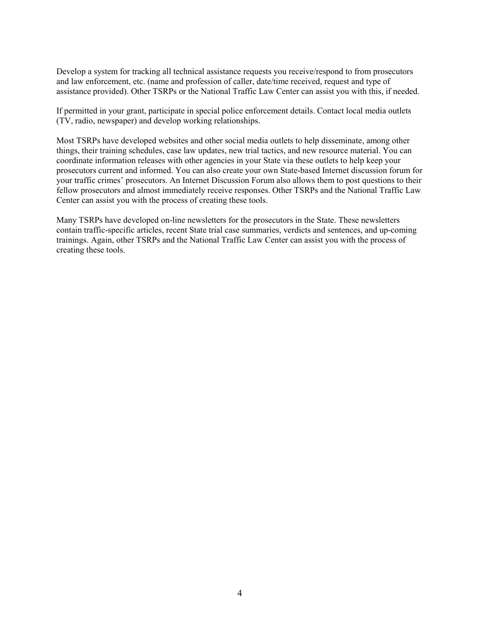Develop a system for tracking all technical assistance requests you receive/respond to from prosecutors and law enforcement, etc. (name and profession of caller, date/time received, request and type of assistance provided). Other TSRPs or the National Traffic Law Center can assist you with this, if needed.

If permitted in your grant, participate in special police enforcement details. Contact local media outlets (TV, radio, newspaper) and develop working relationships.

Most TSRPs have developed websites and other social media outlets to help disseminate, among other things, their training schedules, case law updates, new trial tactics, and new resource material. You can coordinate information releases with other agencies in your State via these outlets to help keep your prosecutors current and informed. You can also create your own State-based Internet discussion forum for your traffic crimes' prosecutors. An Internet Discussion Forum also allows them to post questions to their fellow prosecutors and almost immediately receive responses. Other TSRPs and the National Traffic Law Center can assist you with the process of creating these tools.

Many TSRPs have developed on-line newsletters for the prosecutors in the State. These newsletters contain traffic-specific articles, recent State trial case summaries, verdicts and sentences, and up-coming trainings. Again, other TSRPs and the National Traffic Law Center can assist you with the process of creating these tools.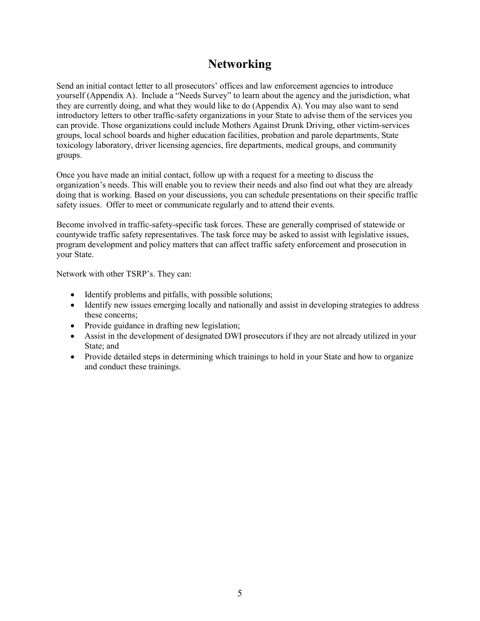# **Networking**

<span id="page-9-0"></span>Send an initial contact letter to all prosecutors' offices and law enforcement agencies to introduce yourself (Appendix A). Include a "Needs Survey" to learn about the agency and the jurisdiction, what they are currently doing, and what they would like to do (Appendix A). You may also want to send introductory letters to other traffic-safety organizations in your State to advise them of the services you can provide. Those organizations could include Mothers Against Drunk Driving, other victim-services groups, local school boards and higher education facilities, probation and parole departments, State toxicology laboratory, driver licensing agencies, fire departments, medical groups, and community groups.

Once you have made an initial contact, follow up with a request for a meeting to discuss the organization's needs. This will enable you to review their needs and also find out what they are already doing that is working. Based on your discussions, you can schedule presentations on their specific traffic safety issues. Offer to meet or communicate regularly and to attend their events.

Become involved in traffic-safety-specific task forces. These are generally comprised of statewide or countywide traffic safety representatives. The task force may be asked to assist with legislative issues, program development and policy matters that can affect traffic safety enforcement and prosecution in your State.

Network with other TSRP's. They can:

- Identify problems and pitfalls, with possible solutions;
- Identify new issues emerging locally and nationally and assist in developing strategies to address these concerns;
- Provide guidance in drafting new legislation;
- Assist in the development of designated DWI prosecutors if they are not already utilized in your State; and
- Provide detailed steps in determining which trainings to hold in your State and how to organize and conduct these trainings.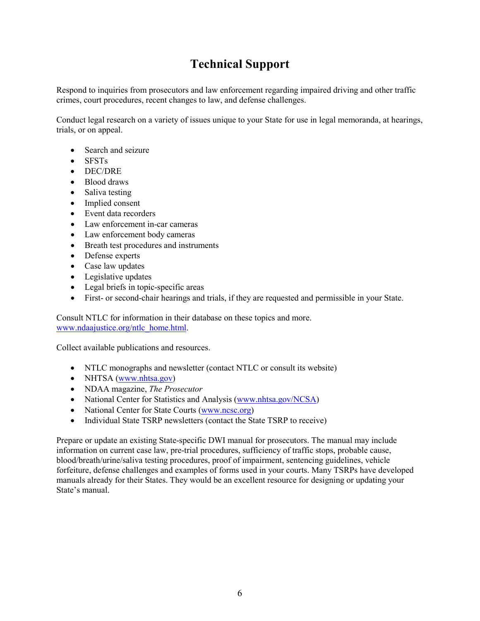# **Technical Support**

<span id="page-10-0"></span>Respond to inquiries from prosecutors and law enforcement regarding impaired driving and other traffic crimes, court procedures, recent changes to law, and defense challenges.

Conduct legal research on a variety of issues unique to your State for use in legal memoranda, at hearings, trials, or on appeal.

- Search and seizure
- SFSTs
- DEC/DRE
- Blood draws
- Saliva testing
- Implied consent
- Event data recorders
- Law enforcement in-car cameras
- Law enforcement body cameras
- Breath test procedures and instruments
- Defense experts
- Case law updates
- Legislative updates
- Legal briefs in topic-specific areas
- First- or second-chair hearings and trials, if they are requested and permissible in your State.

Consult NTLC for information in their database on these topics and more. [www.ndaajustice.org/ntlc\\_home.html.](http://www.ndaajustice.org/ntlc_home.html)

Collect available publications and resources.

- NTLC monographs and newsletter (contact NTLC or consult its website)
- NHTSA [\(www.nhtsa.gov\)](http://www.nhtsa.gov/)
- NDAA magazine, *The Prosecutor*
- National Center for Statistics and Analysis [\(www.nhtsa.gov/NCSA\)](http://www.nhtsa.gov/NCSA)
- National Center for State Courts [\(www.ncsc.org\)](http://www.ncsc.org/)
- Individual State TSRP newsletters (contact the State TSRP to receive)

Prepare or update an existing State-specific DWI manual for prosecutors. The manual may include information on current case law, pre-trial procedures, sufficiency of traffic stops, probable cause, blood/breath/urine/saliva testing procedures, proof of impairment, sentencing guidelines, vehicle forfeiture, defense challenges and examples of forms used in your courts. Many TSRPs have developed manuals already for their States. They would be an excellent resource for designing or updating your State's manual.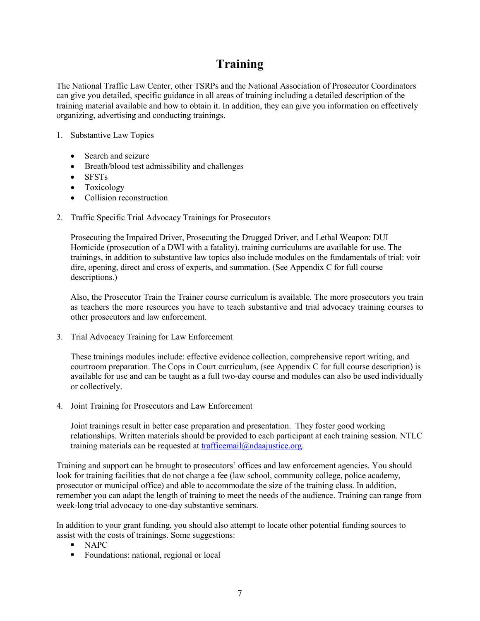# **Training**

<span id="page-11-0"></span>The National Traffic Law Center, other TSRPs and the National Association of Prosecutor Coordinators can give you detailed, specific guidance in all areas of training including a detailed description of the training material available and how to obtain it. In addition, they can give you information on effectively organizing, advertising and conducting trainings.

#### 1. Substantive Law Topics

- Search and seizure
- Breath/blood test admissibility and challenges
- SFSTs
- Toxicology
- Collision reconstruction
- 2. Traffic Specific Trial Advocacy Trainings for Prosecutors

Prosecuting the Impaired Driver, Prosecuting the Drugged Driver, and Lethal Weapon: DUI Homicide (prosecution of a DWI with a fatality), training curriculums are available for use. The trainings, in addition to substantive law topics also include modules on the fundamentals of trial: voir dire, opening, direct and cross of experts, and summation. (See Appendix C for full course descriptions.)

Also, the Prosecutor Train the Trainer course curriculum is available. The more prosecutors you train as teachers the more resources you have to teach substantive and trial advocacy training courses to other prosecutors and law enforcement.

3. Trial Advocacy Training for Law Enforcement

These trainings modules include: effective evidence collection, comprehensive report writing, and courtroom preparation. The Cops in Court curriculum, (see Appendix C for full course description) is available for use and can be taught as a full two-day course and modules can also be used individually or collectively.

4. Joint Training for Prosecutors and Law Enforcement

Joint trainings result in better case preparation and presentation. They foster good working relationships. Written materials should be provided to each participant at each training session. NTLC training materials can be requested at  $traffic email@ndaajustice.org$ .

Training and support can be brought to prosecutors' offices and law enforcement agencies. You should look for training facilities that do not charge a fee (law school, community college, police academy, prosecutor or municipal office) and able to accommodate the size of the training class. In addition, remember you can adapt the length of training to meet the needs of the audience. Training can range from week-long trial advocacy to one-day substantive seminars.

In addition to your grant funding, you should also attempt to locate other potential funding sources to assist with the costs of trainings. Some suggestions:

- NAPC
- Foundations: national, regional or local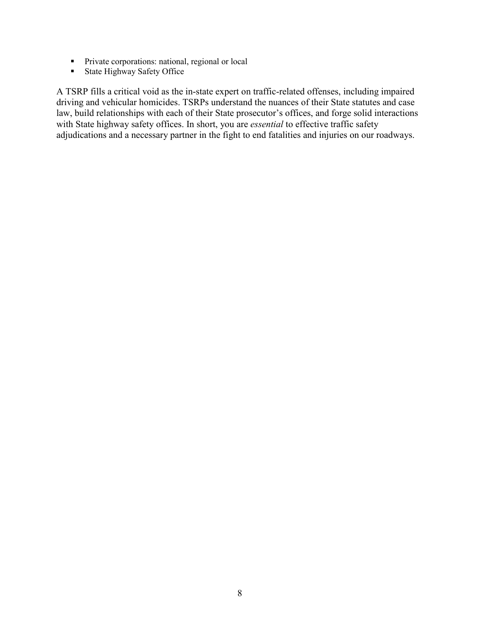- **Private corporations: national, regional or local**
- State Highway Safety Office

A TSRP fills a critical void as the in-state expert on traffic-related offenses, including impaired driving and vehicular homicides. TSRPs understand the nuances of their State statutes and case law, build relationships with each of their State prosecutor's offices, and forge solid interactions with State highway safety offices. In short, you are *essential* to effective traffic safety adjudications and a necessary partner in the fight to end fatalities and injuries on our roadways.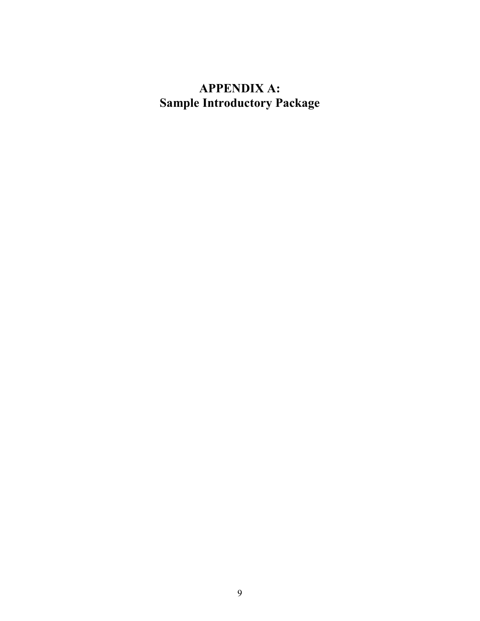# <span id="page-13-0"></span>**APPENDIX A: Sample Introductory Package**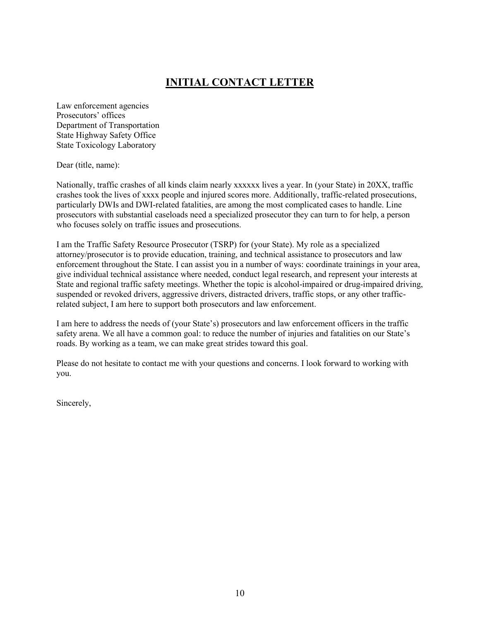### **INITIAL CONTACT LETTER**

<span id="page-14-0"></span>Law enforcement agencies Prosecutors' offices Department of Transportation State Highway Safety Office State Toxicology Laboratory

Dear (title, name):

Nationally, traffic crashes of all kinds claim nearly xxxxxx lives a year. In (your State) in 20XX, traffic crashes took the lives of xxxx people and injured scores more. Additionally, traffic-related prosecutions, particularly DWIs and DWI-related fatalities, are among the most complicated cases to handle. Line prosecutors with substantial caseloads need a specialized prosecutor they can turn to for help, a person who focuses solely on traffic issues and prosecutions.

I am the Traffic Safety Resource Prosecutor (TSRP) for (your State). My role as a specialized attorney/prosecutor is to provide education, training, and technical assistance to prosecutors and law enforcement throughout the State. I can assist you in a number of ways: coordinate trainings in your area, give individual technical assistance where needed, conduct legal research, and represent your interests at State and regional traffic safety meetings. Whether the topic is alcohol-impaired or drug-impaired driving, suspended or revoked drivers, aggressive drivers, distracted drivers, traffic stops, or any other trafficrelated subject, I am here to support both prosecutors and law enforcement.

I am here to address the needs of (your State's) prosecutors and law enforcement officers in the traffic safety arena. We all have a common goal: to reduce the number of injuries and fatalities on our State's roads. By working as a team, we can make great strides toward this goal.

Please do not hesitate to contact me with your questions and concerns. I look forward to working with you.

Sincerely,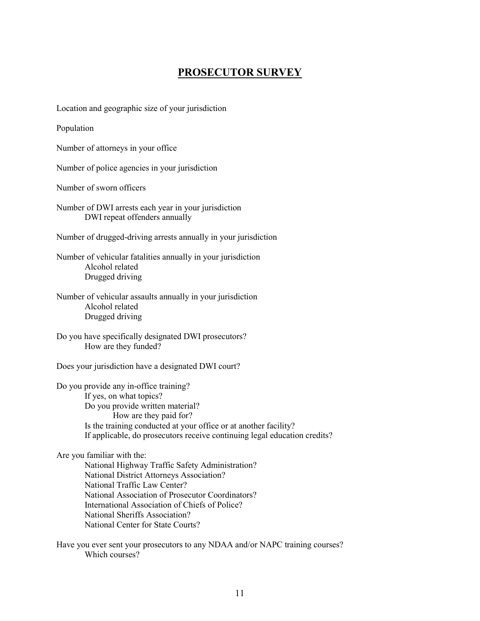### **PROSECUTOR SURVEY**

<span id="page-15-0"></span>Location and geographic size of your jurisdiction

Population

Number of attorneys in your office

Number of police agencies in your jurisdiction

Number of sworn officers

Number of DWI arrests each year in your jurisdiction DWI repeat offenders annually

Number of drugged-driving arrests annually in your jurisdiction

Number of vehicular fatalities annually in your jurisdiction Alcohol related Drugged driving

Number of vehicular assaults annually in your jurisdiction Alcohol related Drugged driving

Do you have specifically designated DWI prosecutors? How are they funded?

Does your jurisdiction have a designated DWI court?

Do you provide any in-office training? If yes, on what topics? Do you provide written material? How are they paid for? Is the training conducted at your office or at another facility? If applicable, do prosecutors receive continuing legal education credits?

Are you familiar with the:

National Highway Traffic Safety Administration? National District Attorneys Association? National Traffic Law Center? National Association of Prosecutor Coordinators? International Association of Chiefs of Police? National Sheriffs Association? National Center for State Courts?

Have you ever sent your prosecutors to any NDAA and/or NAPC training courses? Which courses?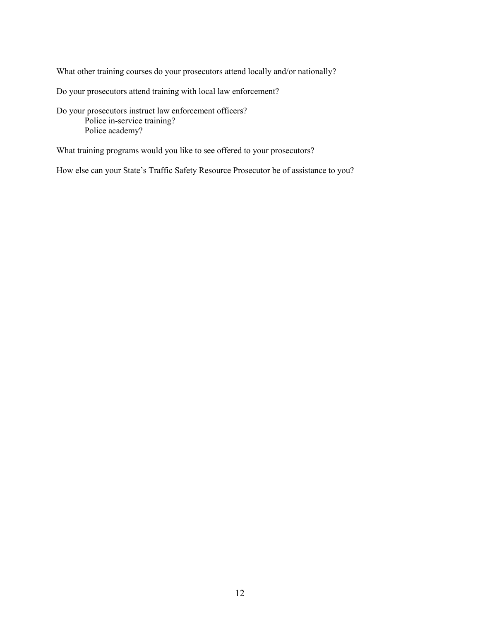What other training courses do your prosecutors attend locally and/or nationally?

Do your prosecutors attend training with local law enforcement?

Do your prosecutors instruct law enforcement officers? Police in-service training? Police academy?

What training programs would you like to see offered to your prosecutors?

How else can your State's Traffic Safety Resource Prosecutor be of assistance to you?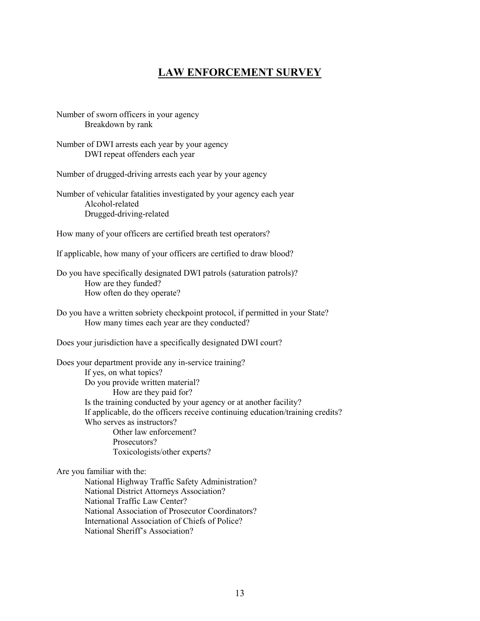### **LAW ENFORCEMENT SURVEY**

<span id="page-17-0"></span>Number of sworn officers in your agency Breakdown by rank

Number of DWI arrests each year by your agency DWI repeat offenders each year

Number of drugged-driving arrests each year by your agency

Number of vehicular fatalities investigated by your agency each year Alcohol-related Drugged-driving-related

How many of your officers are certified breath test operators?

If applicable, how many of your officers are certified to draw blood?

Do you have specifically designated DWI patrols (saturation patrols)? How are they funded? How often do they operate?

Do you have a written sobriety checkpoint protocol, if permitted in your State? How many times each year are they conducted?

Does your jurisdiction have a specifically designated DWI court?

Does your department provide any in-service training? If yes, on what topics? Do you provide written material? How are they paid for? Is the training conducted by your agency or at another facility? If applicable, do the officers receive continuing education/training credits? Who serves as instructors? Other law enforcement? Prosecutors? Toxicologists/other experts?

Are you familiar with the:

National Highway Traffic Safety Administration? National District Attorneys Association? National Traffic Law Center? National Association of Prosecutor Coordinators? International Association of Chiefs of Police? National Sheriff's Association?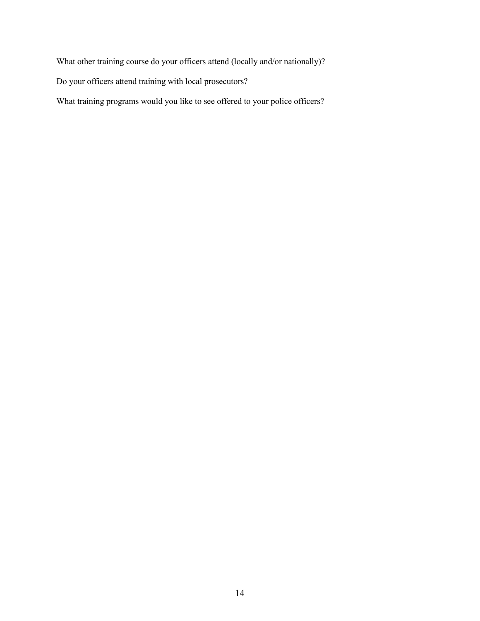What other training course do your officers attend (locally and/or nationally)?

Do your officers attend training with local prosecutors?

What training programs would you like to see offered to your police officers?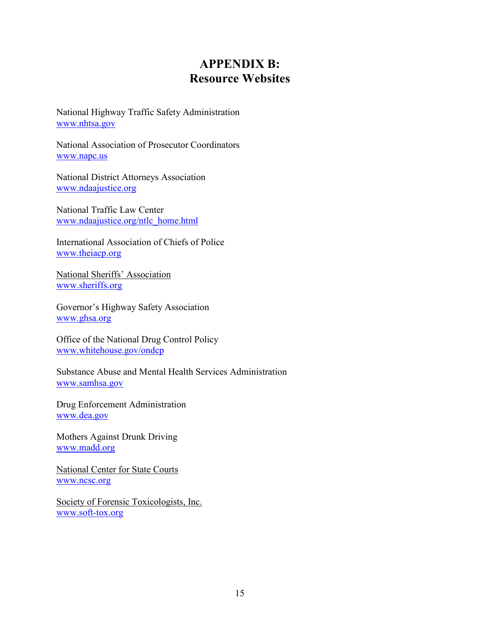# **APPENDIX B: Resource Websites**

<span id="page-19-0"></span>National Highway Traffic Safety Administration [www.nhtsa.gov](http://www.nhtsa.gov/)

National Association of Prosecutor Coordinators [www.napc.us](http://www.napc.us/)

National District Attorneys Association [www.ndaajustice.org](http://www.ndaajustice.org/)

National Traffic Law Center [www.ndaajustice.org/ntlc\\_home.html](http://www.ndaajustice.org/ntlc_home.html)

International Association of Chiefs of Police [www.theiacp.org](http://www.theiacp.org/)

National Sheriffs' Association [www.sheriffs.org](http://www.sheriffs.org/)

Governor's Highway Safety Association [www.ghsa.org](http://www.ghsa.org/)

Office of the National Drug Control Policy [www.whitehouse.gov/ondcp](http://www.whitehouse.gov/ondcp)

Substance Abuse and Mental Health Services Administration [www.samhsa.gov](http://www.samhsa.gov/)

Drug Enforcement Administration [www.dea.gov](http://www.dea.gov/)

Mothers Against Drunk Driving [www.madd.org](http://www.madd.org/)

National Center for State Courts [www.ncsc.org](http://www.ncsc.org/)

Society of Forensic Toxicologists, Inc. [www.soft-tox.org](http://www.soft-tox.org/)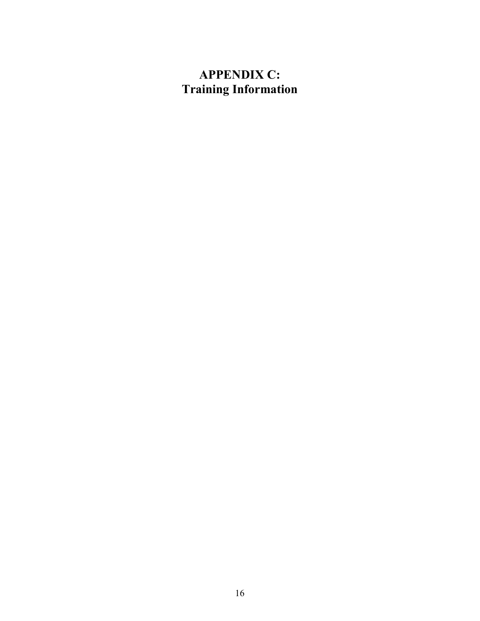# <span id="page-20-0"></span>**APPENDIX C: Training Information**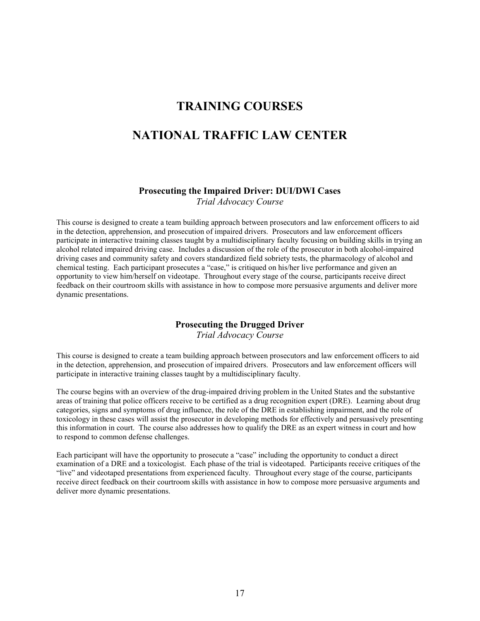### **TRAINING COURSES**

### **NATIONAL TRAFFIC LAW CENTER**

#### **Prosecuting the Impaired Driver: DUI/DWI Cases**

*Trial Advocacy Course* 

This course is designed to create a team building approach between prosecutors and law enforcement officers to aid in the detection, apprehension, and prosecution of impaired drivers. Prosecutors and law enforcement officers participate in interactive training classes taught by a multidisciplinary faculty focusing on building skills in trying an alcohol related impaired driving case. Includes a discussion of the role of the prosecutor in both alcohol-impaired driving cases and community safety and covers standardized field sobriety tests, the pharmacology of alcohol and chemical testing. Each participant prosecutes a "case," is critiqued on his/her live performance and given an opportunity to view him/herself on videotape. Throughout every stage of the course, participants receive direct feedback on their courtroom skills with assistance in how to compose more persuasive arguments and deliver more dynamic presentations.

#### **Prosecuting the Drugged Driver**

*Trial Advocacy Course* 

This course is designed to create a team building approach between prosecutors and law enforcement officers to aid in the detection, apprehension, and prosecution of impaired drivers. Prosecutors and law enforcement officers will participate in interactive training classes taught by a multidisciplinary faculty.

The course begins with an overview of the drug-impaired driving problem in the United States and the substantive areas of training that police officers receive to be certified as a drug recognition expert (DRE). Learning about drug categories, signs and symptoms of drug influence, the role of the DRE in establishing impairment, and the role of toxicology in these cases will assist the prosecutor in developing methods for effectively and persuasively presenting this information in court. The course also addresses how to qualify the DRE as an expert witness in court and how to respond to common defense challenges.

Each participant will have the opportunity to prosecute a "case" including the opportunity to conduct a direct examination of a DRE and a toxicologist. Each phase of the trial is videotaped. Participants receive critiques of the "live" and videotaped presentations from experienced faculty. Throughout every stage of the course, participants receive direct feedback on their courtroom skills with assistance in how to compose more persuasive arguments and deliver more dynamic presentations.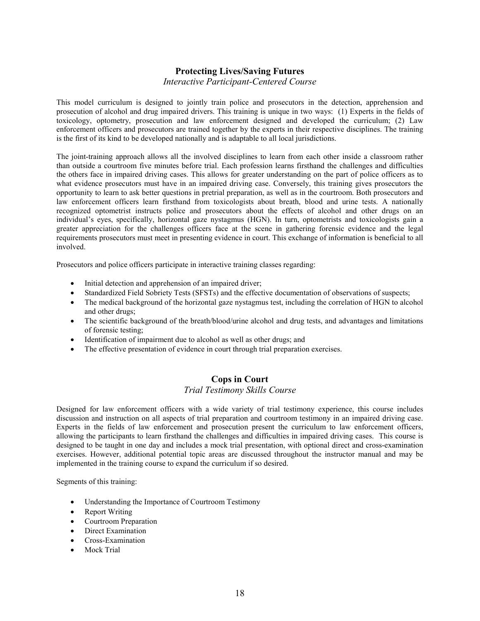# **Protecting Lives/Saving Futures**

#### *Interactive Participant-Centered Course*

This model curriculum is designed to jointly train police and prosecutors in the detection, apprehension and prosecution of alcohol and drug impaired drivers. This training is unique in two ways: (1) Experts in the fields of toxicology, optometry, prosecution and law enforcement designed and developed the curriculum; (2) Law enforcement officers and prosecutors are trained together by the experts in their respective disciplines. The training is the first of its kind to be developed nationally and is adaptable to all local jurisdictions.

The joint-training approach allows all the involved disciplines to learn from each other inside a classroom rather than outside a courtroom five minutes before trial. Each profession learns firsthand the challenges and difficulties the others face in impaired driving cases. This allows for greater understanding on the part of police officers as to what evidence prosecutors must have in an impaired driving case. Conversely, this training gives prosecutors the opportunity to learn to ask better questions in pretrial preparation, as well as in the courtroom. Both prosecutors and law enforcement officers learn firsthand from toxicologists about breath, blood and urine tests. A nationally recognized optometrist instructs police and prosecutors about the effects of alcohol and other drugs on an individual's eyes, specifically, horizontal gaze nystagmus (HGN). In turn, optometrists and toxicologists gain a greater appreciation for the challenges officers face at the scene in gathering forensic evidence and the legal requirements prosecutors must meet in presenting evidence in court. This exchange of information is beneficial to all involved.

Prosecutors and police officers participate in interactive training classes regarding:

- Initial detection and apprehension of an impaired driver;
- Standardized Field Sobriety Tests (SFSTs) and the effective documentation of observations of suspects;
- The medical background of the horizontal gaze nystagmus test, including the correlation of HGN to alcohol and other drugs;
- The scientific background of the breath/blood/urine alcohol and drug tests, and advantages and limitations of forensic testing;
- Identification of impairment due to alcohol as well as other drugs; and
- The effective presentation of evidence in court through trial preparation exercises.

#### **Cops in Court** *Trial Testimony Skills Course*

Designed for law enforcement officers with a wide variety of trial testimony experience, this course includes discussion and instruction on all aspects of trial preparation and courtroom testimony in an impaired driving case. Experts in the fields of law enforcement and prosecution present the curriculum to law enforcement officers, allowing the participants to learn firsthand the challenges and difficulties in impaired driving cases. This course is designed to be taught in one day and includes a mock trial presentation, with optional direct and cross-examination exercises. However, additional potential topic areas are discussed throughout the instructor manual and may be implemented in the training course to expand the curriculum if so desired.

Segments of this training:

- Understanding the Importance of Courtroom Testimony
- Report Writing
- Courtroom Preparation
- Direct Examination
- Cross-Examination
- Mock Trial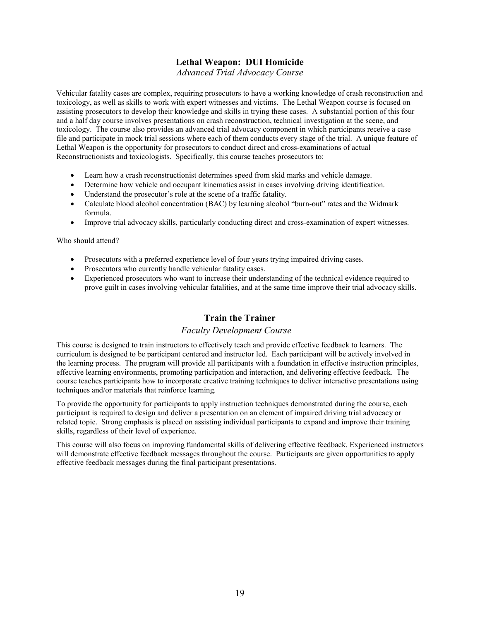#### **Lethal Weapon: DUI Homicide**

*Advanced Trial Advocacy Course* 

Vehicular fatality cases are complex, requiring prosecutors to have a working knowledge of crash reconstruction and toxicology, as well as skills to work with expert witnesses and victims. The Lethal Weapon course is focused on assisting prosecutors to develop their knowledge and skills in trying these cases. A substantial portion of this four and a half day course involves presentations on crash reconstruction, technical investigation at the scene, and toxicology. The course also provides an advanced trial advocacy component in which participants receive a case file and participate in mock trial sessions where each of them conducts every stage of the trial. A unique feature of Lethal Weapon is the opportunity for prosecutors to conduct direct and cross-examinations of actual Reconstructionists and toxicologists. Specifically, this course teaches prosecutors to:

- Learn how a crash reconstructionist determines speed from skid marks and vehicle damage.
- Determine how vehicle and occupant kinematics assist in cases involving driving identification.
- Understand the prosecutor's role at the scene of a traffic fatality.
- Calculate blood alcohol concentration (BAC) by learning alcohol "burn-out" rates and the Widmark formula.
- Improve trial advocacy skills, particularly conducting direct and cross-examination of expert witnesses.

Who should attend?

- Prosecutors with a preferred experience level of four years trying impaired driving cases.
- Prosecutors who currently handle vehicular fatality cases.
- Experienced prosecutors who want to increase their understanding of the technical evidence required to prove guilt in cases involving vehicular fatalities, and at the same time improve their trial advocacy skills.

#### **Train the Trainer**

#### *Faculty Development Course*

This course is designed to train instructors to effectively teach and provide effective feedback to learners. The curriculum is designed to be participant centered and instructor led. Each participant will be actively involved in the learning process. The program will provide all participants with a foundation in effective instruction principles, effective learning environments, promoting participation and interaction, and delivering effective feedback. The course teaches participants how to incorporate creative training techniques to deliver interactive presentations using techniques and/or materials that reinforce learning.

To provide the opportunity for participants to apply instruction techniques demonstrated during the course, each participant is required to design and deliver a presentation on an element of impaired driving trial advocacy or related topic. Strong emphasis is placed on assisting individual participants to expand and improve their training skills, regardless of their level of experience.

This course will also focus on improving fundamental skills of delivering effective feedback. Experienced instructors will demonstrate effective feedback messages throughout the course. Participants are given opportunities to apply effective feedback messages during the final participant presentations.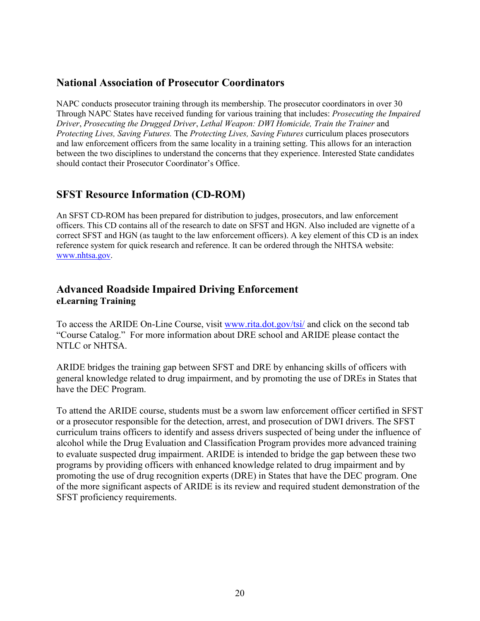### **National Association of Prosecutor Coordinators**

NAPC conducts prosecutor training through its membership. The prosecutor coordinators in over 30 Through NAPC States have received funding for various training that includes: *Prosecuting the Impaired Driver*, *Prosecuting the Drugged Driver*, *Lethal Weapon: DWI Homicide, Train the Trainer* and *Protecting Lives, Saving Futures.* The *Protecting Lives, Saving Futures* curriculum places prosecutors and law enforcement officers from the same locality in a training setting. This allows for an interaction between the two disciplines to understand the concerns that they experience. Interested State candidates should contact their Prosecutor Coordinator's Office.

### **SFST Resource Information (CD-ROM)**

An SFST CD-ROM has been prepared for distribution to judges, prosecutors, and law enforcement officers. This CD contains all of the research to date on SFST and HGN. Also included are vignette of a correct SFST and HGN (as taught to the law enforcement officers). A key element of this CD is an index reference system for quick research and reference. It can be ordered through the NHTSA website: [www.nhtsa.gov.](http://www.nhtsa.gov/)

### **Advanced Roadside Impaired Driving Enforcement eLearning Training**

To access the ARIDE On-Line Course, visit [www.rita.dot.gov/tsi/](http://www.rita.dot.gov/tsi/) and click on the second tab "Course Catalog." For more information about DRE school and ARIDE please contact the NTLC or NHTSA.

ARIDE bridges the training gap between SFST and DRE by enhancing skills of officers with general knowledge related to drug impairment, and by promoting the use of DREs in States that have the DEC Program.

To attend the ARIDE course, students must be a sworn law enforcement officer certified in SFST or a prosecutor responsible for the detection, arrest, and prosecution of DWI drivers. The SFST curriculum trains officers to identify and assess drivers suspected of being under the influence of alcohol while the Drug Evaluation and Classification Program provides more advanced training to evaluate suspected drug impairment. ARIDE is intended to bridge the gap between these two programs by providing officers with enhanced knowledge related to drug impairment and by promoting the use of drug recognition experts (DRE) in States that have the DEC program. One of the more significant aspects of ARIDE is its review and required student demonstration of the SFST proficiency requirements.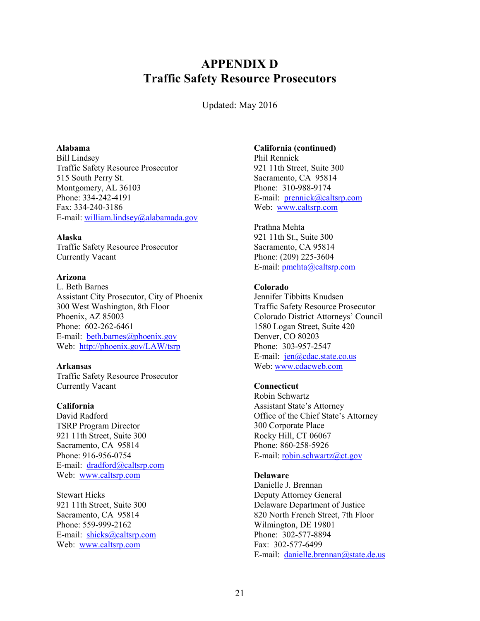# <span id="page-25-0"></span>**APPENDIX D Traffic Safety Resource Prosecutors**

Updated: May 2016

#### **Alabama**

Bill Lindsey Traffic Safety Resource Prosecutor 515 South Perry St. Montgomery, AL 36103 Phone: 334-242-4191 Fax: 334-240-3186 E-mail[: william.lindsey@alabamada.gov](mailto:william.lindsey@alabamada.gov)

#### **Alaska**

Traffic Safety Resource Prosecutor Currently Vacant

#### **Arizona**

L. Beth Barnes Assistant City Prosecutor, City of Phoenix 300 West Washington, 8th Floor Phoenix, AZ 85003 Phone: 602-262-6461 E-mail: [beth.barnes@phoenix.gov](mailto:beth.barnes@phoenix.gov) Web: <http://phoenix.gov/LAW/tsrp>

#### **Arkansas**

Traffic Safety Resource Prosecutor Currently Vacant

#### **California**

David Radford TSRP Program Director 921 11th Street, Suite 300 Sacramento, CA 95814 Phone: 916-956-0754 E-mail: [dradford@caltsrp.com](mailto:dradford@caltsrp.com) Web: [www.caltsrp.com](http://www.caltsrp.com/)

Stewart Hicks 921 11th Street, Suite 300 Sacramento, CA 95814 Phone: 559-999-2162 E-mail: [shicks@caltsrp.com](mailto:shicks@caltsrp.com) Web: [www.caltsrp.com](http://www.caltsrp.com/)

#### **California (continued)**

Phil Rennick 921 11th Street, Suite 300 Sacramento, CA 95814 Phone: 310-988-9174 E-mail: [prennick@caltsrp.com](mailto:prennick@caltsrp.com) Web: [www.caltsrp.com](http://www.caltsrp.com/)

Prathna Mehta 921 11th St., Suite 300 Sacramento, CA 95814 Phone: (209) 225-3604 E-mail[: pmehta@caltsrp.com](mailto:pmehta@caltsrp.com)

#### **Colorado**

Jennifer Tibbitts Knudsen Traffic Safety Resource Prosecutor Colorado District Attorneys' Council 1580 Logan Street, Suite 420 Denver, CO 80203 Phone: 303-957-2547 E-mail: [jen@cdac.state.co.us](mailto:jen@cdac.state.co.us) Web: [www.cdacweb.com](http://www.cdacweb.com/)

#### **Connecticut**

Robin Schwartz Assistant State's Attorney Office of the Chief State's Attorney 300 Corporate Place Rocky Hill, CT 06067 Phone: 860-258-5926 E-mail[: robin.schwartz@ct.gov](mailto:robin.schwartz@ct.gov)

#### **Delaware**

Danielle J. Brennan Deputy Attorney General Delaware Department of Justice 820 North French Street, 7th Floor Wilmington, DE 19801 Phone: 302-577-8894 Fax: 302-577-6499 E-mail: [danielle.brennan@state.de.us](mailto:danielle.brennan@state.de.us)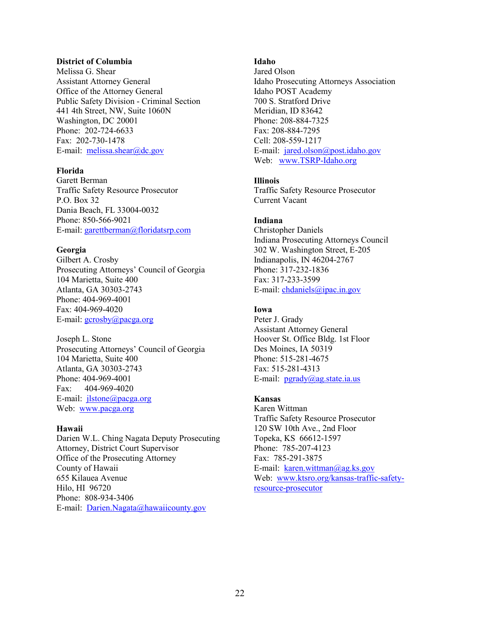#### **District of Columbia**

Melissa G. Shear Assistant Attorney General Office of the Attorney General Public Safety Division - Criminal Section 441 4th Street, NW, Suite 1060N Washington, DC 20001 Phone: 202-724-6633 Fax: 202-730-1478 E-mail: [melissa.shear@dc.gov](mailto:melissa.shear@dc.gov)

#### **Florida**

Garett Berman Traffic Safety Resource Prosecutor P.O. Box 32 Dania Beach, FL 33004-0032 Phone: 850-566-9021 E-mail[: garettberman@floridatsrp.com](mailto:garettberman@floridatsrp.com)

#### **Georgia**

Gilbert A. Crosby Prosecuting Attorneys' Council of Georgia 104 Marietta, Suite 400 Atlanta, GA 30303-2743 Phone: 404-969-4001 Fax: 404-969-4020 E-mail[: gcrosby@pacga.org](mailto:gcrosby@pacga.org)

Joseph L. Stone Prosecuting Attorneys' Council of Georgia 104 Marietta, Suite 400 Atlanta, GA 30303-2743 Phone: 404-969-4001 Fax: 404-969-4020 E-mail: [jlstone@pacga.org](mailto:jlstone@pacga.org) Web: [www.pacga.org](http://www.pacga.org/)

#### **Hawaii**

Darien W.L. Ching Nagata Deputy Prosecuting Attorney, District Court Supervisor Office of the Prosecuting Attorney County of Hawaii 655 Kilauea Avenue Hilo, HI 96720 Phone: 808-934-3406 E-mail: [Darien.Nagata@hawaiicounty.gov](mailto:Darien.Nagata@hawaiicounty.gov)

#### **Idaho**

Jared Olson Idaho Prosecuting Attorneys Association Idaho POST Academy 700 S. Stratford Drive Meridian, ID 83642 Phone: 208-884-7325 Fax: 208-884-7295 Cell: 208-559-1217 E-mail: [jared.olson@post.idaho.gov](mailto:jared.olson@post.idaho.gov) Web: [www.TSRP-Idaho.org](http://www.tsrp-idaho.org/)

#### **Illinois**

Traffic Safety Resource Prosecutor Current Vacant

#### **Indiana**

Christopher Daniels Indiana Prosecuting Attorneys Council 302 W. Washington Street, E-205 Indianapolis, IN 46204-2767 Phone: 317-232-1836 Fax: 317-233-3599 E-mail[: chdaniels@ipac.in.gov](mailto:chdaniels@ipac.in.gov)

#### **Iowa**

Peter J. Grady Assistant Attorney General Hoover St. Office Bldg. 1st Floor Des Moines, IA 50319 Phone: 515-281-4675 Fax: 515-281-4313 E-mail:  $pgrady(a)ag.state.ia.us$ 

#### **Kansas**

Karen Wittman Traffic Safety Resource Prosecutor 120 SW 10th Ave., 2nd Floor Topeka, KS 66612-1597 Phone: 785-207-4123 Fax: 785-291-3875 E-mail: [karen.wittman@ag.ks.gov](mailto:karen.wittman@ag.ks.gov) Web: [www.ktsro.org/kansas-traffic-safety](http://www.ktsro.org/kansas-traffic-safety-resource-prosecutor)[resource-prosecutor](http://www.ktsro.org/kansas-traffic-safety-resource-prosecutor)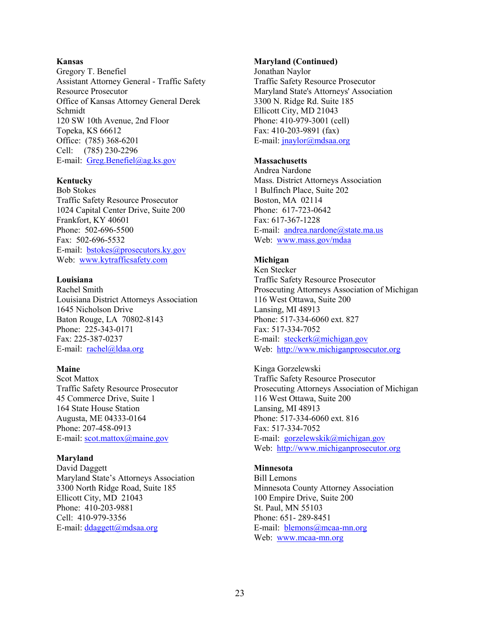#### **Kansas**

Gregory T. Benefiel Assistant Attorney General - Traffic Safety Resource Prosecutor Office of Kansas Attorney General Derek Schmidt 120 SW 10th Avenue, 2nd Floor Topeka, KS 66612 Office: (785) 368-6201 Cell: (785) 230-2296 E-mail: [Greg.Benefiel@ag.ks.gov](mailto:Greg.Benefiel@ag.ks.gov)

#### **Kentucky**

Bob Stokes Traffic Safety Resource Prosecutor 1024 Capital Center Drive, Suite 200 Frankfort, KY 40601 Phone: 502-696-5500 Fax: 502-696-5532 E-mail: [bstokes@prosecutors.ky.gov](mailto:bstokes@prosecutors.ky.gov) Web: [www.kytrafficsafety.com](http://www.kytrafficsafety.com/)

#### **Louisiana**

Rachel Smith Louisiana District Attorneys Association 1645 Nicholson Drive Baton Rouge, LA 70802-8143 Phone: 225-343-0171 Fax: 225-387-0237 E-mail: [rachel@ldaa.org](mailto:rachel@ldaa.org)

#### **Maine**

Scot Mattox Traffic Safety Resource Prosecutor 45 Commerce Drive, Suite 1 164 State House Station Augusta, ME 04333-0164 Phone: 207-458-0913 E-mail[: scot.mattox@maine.gov](mailto:scot.mattox@maine.gov)

#### **Maryland**

David Daggett Maryland State's Attorneys Association 3300 North Ridge Road, Suite 185 Ellicott City, MD 21043 Phone: 410-203-9881 Cell: 410-979-3356 E-mail[: ddaggett@mdsaa.org](mailto:ddaggett@mdsaa.org)

#### **Maryland (Continued)**

Jonathan Naylor Traffic Safety Resource Prosecutor Maryland State's Attorneys' Association 3300 N. Ridge Rd. Suite 185 Ellicott City, MD 21043 Phone: 410-979-3001 (cell) Fax: 410-203-9891 (fax) E-mail[: jnaylor@mdsaa.org](mailto:jnaylor@mdsaa.org)

#### **Massachusetts**

Andrea Nardone Mass. District Attorneys Association 1 Bulfinch Place, Suite 202 Boston, MA 02114 Phone: 617-723-0642 Fax: 617-367-1228 E-mail: [andrea.nardone@state.ma.us](mailto:andrea.nardone@state.ma.us) Web: [www.mass.gov/mdaa](http://www.mass.gov/mdaa)

#### **Michigan**

Ken Stecker Traffic Safety Resource Prosecutor Prosecuting Attorneys Association of Michigan 116 West Ottawa, Suite 200 Lansing, MI 48913 Phone: 517-334-6060 ext. 827 Fax: 517-334-7052 E-mail: [steckerk@michigan.gov](mailto:steckerk@michigan.gov) Web: [http://www.michiganprosecutor.org](http://www.michiganprosecutor.org/)

Kinga Gorzelewski Traffic Safety Resource Prosecutor Prosecuting Attorneys Association of Michigan 116 West Ottawa, Suite 200 Lansing, MI 48913 Phone: 517-334-6060 ext. 816 Fax: 517-334-7052 E-mail: [gorzelewskik@michigan.gov](mailto:gorzelewskik@michigan.gov) Web: [http://www.michiganprosecutor.org](http://www.michiganprosecutor.org/)

#### **Minnesota**

Bill Lemons Minnesota County Attorney Association 100 Empire Drive, Suite 200 St. Paul, MN 55103 Phone: 651- 289-8451 E-mail: [blemons@mcaa-mn.org](mailto:blemons@mcaa-mn.org) Web: [www.mcaa-mn.org](http://www.mcaa-mn.org/)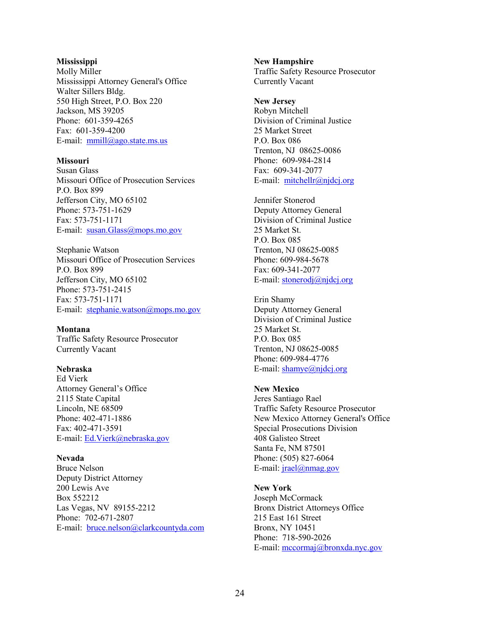#### **Mississippi**

Molly Miller Mississippi Attorney General's Office Walter Sillers Bldg. 550 High Street, P.O. Box 220 Jackson, MS 39205 Phone: 601-359-4265 Fax: 601-359-4200 E-mail: [mmill@ago.state.ms.us](mailto:mmill@ago.state.ms.us)

#### **Missouri**

Susan Glass Missouri Office of Prosecution Services P.O. Box 899 Jefferson City, MO 65102 Phone: 573-751-1629 Fax: 573-751-1171 E-mail: [susan.Glass@mops.mo.gov](mailto:susan.Glass@mops.mo.gov)

Stephanie Watson Missouri Office of Prosecution Services P.O. Box 899 Jefferson City, MO 65102 Phone: 573-751-2415 Fax: 573-751-1171 E-mail: [stephanie.watson@mops.mo.gov](mailto:stephanie.watson@mops.mo.gov)

#### **Montana**

Traffic Safety Resource Prosecutor Currently Vacant

#### **Nebraska**

Ed Vierk Attorney General's Office 2115 State Capital Lincoln, NE 68509 Phone: 402-471-1886 Fax: 402-471-3591 E-mail: [Ed.Vierk@nebraska.gov](mailto:Ed.Vierk@nebraska.gov)

#### **Nevada**

Bruce Nelson Deputy District Attorney 200 Lewis Ave Box 552212 Las Vegas, NV 89155-2212 Phone: 702-671-2807 E-mail: [bruce.nelson@clarkcountyda.com](mailto:bruce.nelson@clarkcountyda.com)

**New Hampshire** Traffic Safety Resource Prosecutor Currently Vacant

**New Jersey** Robyn Mitchell Division of Criminal Justice 25 Market Street P.O. Box 086 Trenton, NJ 08625-0086 Phone: 609-984-2814 Fax: 609-341-2077 E-mail: [mitchellr@njdcj.org](mailto:mitchellr@njdcj.org)

Jennifer Stonerod Deputy Attorney General Division of Criminal Justice 25 Market St. P.O. Box 085 Trenton, NJ 08625-0085 Phone: 609-984-5678 Fax: 609-341-2077 E-mail: stonerodj@njdcj.org

Erin Shamy Deputy Attorney General Division of Criminal Justice 25 Market St. P.O. Box 085 Trenton, NJ 08625-0085 Phone: 609-984-4776 E-mail[: shamye@njdcj.org](mailto:shamye@njdcj.org)

#### **New Mexico**

Jeres Santiago Rael Traffic Safety Resource Prosecutor New Mexico Attorney General's Office Special Prosecutions Division 408 Galisteo Street Santa Fe, NM 87501 Phone: (505) 827-6064 E-mail:  $i\text{rael}(\hat{\omega})$ nmag.gov

#### **New York**

Joseph McCormack Bronx District Attorneys Office 215 East 161 Street Bronx, NY 10451 Phone: 718-590-2026 E-mail[: mccormaj@bronxda.nyc.gov](mailto:mccormaj@bronxda.nyc.gov)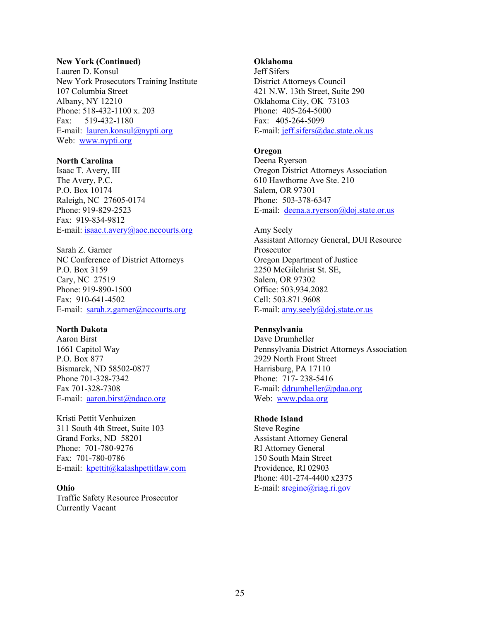#### **New York (Continued)**

Lauren D. Konsul New York Prosecutors Training Institute 107 Columbia Street Albany, NY 12210 Phone: 518-432-1100 x. 203 Fax: 519-432-1180 E-mail: [lauren.konsul@nypti.org](mailto:lauren.konsul@nypti.org) Web: [www.nypti.org](http://www.nypti.org/)

#### **North Carolina**

Isaac T. Avery, III The Avery, P.C. P.O. Box 10174 Raleigh, NC 27605-0174 Phone: 919-829-2523 Fax: 919-834-9812 E-mail[: isaac.t.avery@aoc.nccourts.org](mailto:isaac.t.avery@aoc.nccourts.org)

Sarah Z. Garner NC Conference of District Attorneys P.O. Box 3159 Cary, NC 27519 Phone: 919-890-1500 Fax: 910-641-4502 E-mail: [sarah.z.garner@nccourts.org](mailto:sarah.z.garner@nccourts.org)

#### **North Dakota**

Aaron Birst 1661 Capitol Way P.O. Box 877 Bismarck, ND 58502-0877 Phone 701-328-7342 Fax 701-328-7308 E-mail: [aaron.birst@ndaco.org](mailto:aaron.birst@ndaco.org)

Kristi Pettit Venhuizen 311 South 4th Street, Suite 103 Grand Forks, ND 58201 Phone: 701-780-9276 Fax: 701-780-0786 E-mail: [kpettit@kalashpettitlaw.com](mailto:kpettit@kalashpettitlaw.com)

# **Ohio**

Traffic Safety Resource Prosecutor Currently Vacant

#### **Oklahoma**

Jeff Sifers District Attorneys Council 421 N.W. 13th Street, Suite 290 Oklahoma City, OK 73103 Phone: 405-264-5000 Fax: 405-264-5099 E-mail[: jeff.sifers@dac.state.ok.us](mailto:jeff.sifers@dac.state.ok.us)

#### **Oregon**

Deena Ryerson Oregon District Attorneys Association 610 Hawthorne Ave Ste. 210 Salem, OR 97301 Phone: 503-378-6347 E-mail: [deena.a.ryerson@doj.state.or.us](mailto:deena.a.ryerson@doj.state.or.us)

Amy Seely Assistant Attorney General, DUI Resource Prosecutor Oregon Department of Justice 2250 McGilchrist St. SE, Salem, OR 97302 Office: 503.934.2082 Cell: 503.871.9608 E-mail[: amy.seely@doj.state.or.us](mailto:amy.seely@doj.state.or.us)

#### **Pennsylvania**

Dave Drumheller Pennsylvania District Attorneys Association 2929 North Front Street Harrisburg, PA 17110 Phone: 717- 238-5416 E-mail[: ddrumheller@pdaa.org](mailto:ddrumheller@pdaa.org) Web: [www.pdaa.org](http://www.pdaa.org/)

#### **Rhode Island**

Steve Regine Assistant Attorney General RI Attorney General 150 South Main Street Providence, RI 02903 Phone: 401-274-4400 x2375 E-mail[: sregine@riag.ri.gov](mailto:sregine@riag.ri.gov)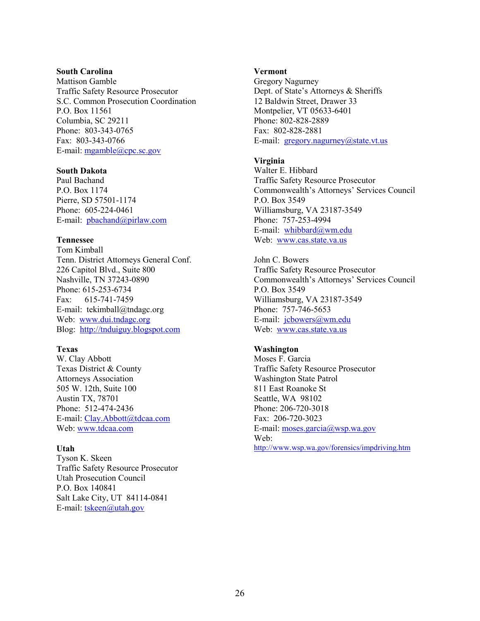#### **South Carolina**

Mattison Gamble Traffic Safety Resource Prosecutor S.C. Common Prosecution Coordination P.O. Box 11561 Columbia, SC 29211 Phone: 803-343-0765 Fax: 803-343-0766 E-mail[: mgamble@cpc.sc.gov](mailto:mgamble@cpc.sc.gov)

#### **South Dakota**

Paul Bachand P.O. Box 1174 Pierre, SD 57501-1174 Phone: 605-224-0461 E-mail: [pbachand@pirlaw.com](mailto:pbachand@pirlaw.com)

#### **Tennessee**

Tom Kimball Tenn. District Attorneys General Conf. 226 Capitol Blvd., Suite 800 Nashville, TN 37243-0890 Phone: 615-253-6734 Fax: 615-741-7459 E-mail: tekimball@tndagc.org Web: [www.dui.tndagc.org](http://www.dui.tndagc.org/) Blog: [http://tnduiguy.blogspot.com](http://tnduiguy.blogspot.com/)

#### **Texas**

W. Clay Abbott Texas District & County Attorneys Association 505 W. 12th, Suite 100 Austin TX, 78701 Phone: 512-474-2436 E-mail[: Clay.Abbott@tdcaa.com](mailto:Clay.Abbott@tdcaa.com) Web: [www.tdcaa.com](http://www.tdcaa.com/)

#### **Utah**

Tyson K. Skeen Traffic Safety Resource Prosecutor Utah Prosecution Council P.O. Box 140841 Salt Lake City, UT 84114-0841 E-mail: tskeen@utah.gov

#### **Vermont**

Gregory Nagurney Dept. of State's Attorneys & Sheriffs 12 Baldwin Street, Drawer 33 Montpelier, VT 05633-6401 Phone: 802-828-2889 Fax: 802-828-2881 E-mail:  $gregory.nagurney@state.vt.us$ 

#### **Virginia**

Walter E. Hibbard Traffic Safety Resource Prosecutor Commonwealth's Attorneys' Services Council P.O. Box 3549 Williamsburg, VA 23187-3549 Phone: 757-253-4994 E-mail: [whibbard@wm.edu](mailto:whibbard@wm.edu) Web: [www.cas.state.va.us](http://www.cas.state.va.us/)

John C. Bowers Traffic Safety Resource Prosecutor Commonwealth's Attorneys' Services Council P.O. Box 3549 Williamsburg, VA 23187-3549 Phone: 757-746-5653 E-mail: [jcbowers@wm.edu](mailto:jcbowers@wm.edu) Web: [www.cas.state.va.us](http://www.cas.state.va.us/)

#### **Washington**

Moses F. Garcia Traffic Safety Resource Prosecutor Washington State Patrol 811 East Roanoke St Seattle, WA 98102 Phone: 206-720-3018 Fax: 206-720-3023 E-mail[: moses.garcia@wsp.wa.gov](mailto:moses.garcia@wsp.wa.gov) Web: <http://www.wsp.wa.gov/forensics/impdriving.htm>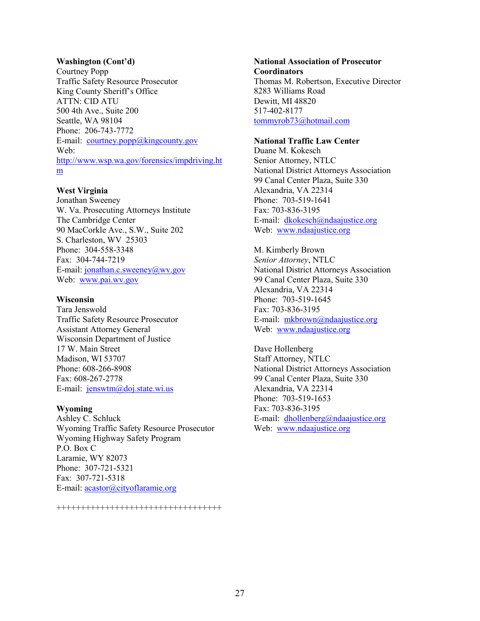#### **Washington (Cont'd)**

Courtney Popp Traffic Safety Resource Prosecutor King County Sheriff's Office ATTN: CID ATU 500 4th Ave., Suite 200 Seattle, WA 98104 Phone: 206-743-7772 E-mail:  $countney.pop@kingcounty.gov$ Web: [http://www.wsp.wa.gov/forensics/impdriving.ht](http://www.wsp.wa.gov/forensics/impdriving.htm) [m](http://www.wsp.wa.gov/forensics/impdriving.htm)

#### **West Virginia**

Jonathan Sweeney W. Va. Prosecuting Attorneys Institute The Cambridge Center 90 MacCorkle Ave., S.W., Suite 202 S. Charleston, WV 25303 Phone: 304-558-3348 Fax: 304-744-7219 E-mail[: jonathan.c.sweeney@wv.gov](mailto:jonathan.c.sweeney@wv.gov) Web: [www.pai.wv.gov](http://www.pai.wv.gov/)

#### **Wisconsin**

Tara Jenswold Traffic Safety Resource Prosecutor Assistant Attorney General Wisconsin Department of Justice 17 W. Main Street Madison, WI 53707 Phone: 608-266-8908 Fax: 608-267-2778 E-mail: [jenswtm@doj.state.wi.us](mailto:jenswtm@doj.state.wi.us)

#### **Wyoming**

Ashley C. Schluck Wyoming Traffic Safety Resource Prosecutor Wyoming Highway Safety Program P.O. Box C Laramie, WY 82073 Phone: 307-721-5321 Fax: 307-721-5318 E-mail[: acastor@cityoflaramie.org](mailto:acastor@cityoflaramie.org)

#### **National Association of Prosecutor Coordinators**  Thomas M. Robertson, Executive Director 8283 Williams Road Dewitt, MI 48820 517-402-8177 [tommyrob73@hotmail.com](mailto:tommyrob73@hotmail.com)

#### **National Traffic Law Center**

Duane M. Kokesch Senior Attorney, NTLC National District Attorneys Association 99 Canal Center Plaza, Suite 330 Alexandria, VA 22314 Phone: 703-519-1641 Fax: 703-836-3195 E-mail: [dkokesch@ndaajustice.org](mailto:dkokesch@ndaajustice.org) Web: [www.ndaajustice.org](http://www.ndaajustice.org/)

M. Kimberly Brown *Senior Attorney*, NTLC National District Attorneys Association 99 Canal Center Plaza, Suite 330 Alexandria, VA 22314 Phone: 703-519-1645 Fax: 703-836-3195 E-mail: [mkbrown@ndaajustice.org](mailto:mkbrown@ndaajustice.org) Web: [www.ndaajustice.org](http://www.ndaa.org/)

Dave Hollenberg Staff Attorney, NTLC National District Attorneys Association 99 Canal Center Plaza, Suite 330 Alexandria, VA 22314 Phone: 703-519-1653 Fax: 703-836-3195 E-mail: [dhollenberg@ndaajustice.org](mailto:dhollenberg@ndaajustice.org) Web: [www.ndaajustice.org](http://www.ndaa.org/)

++++++++++++++++++++++++++++++++++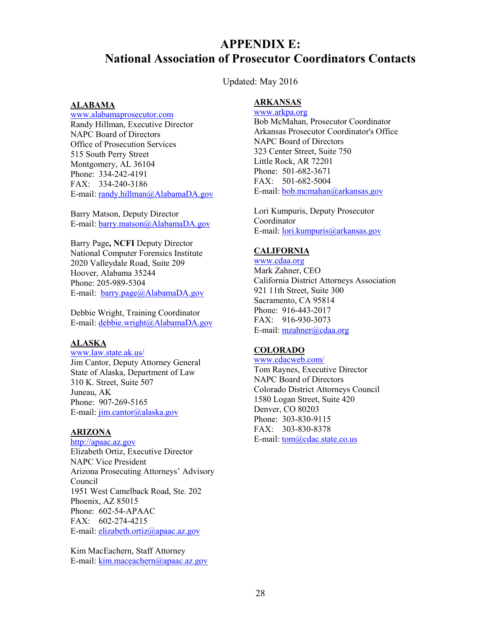# <span id="page-32-0"></span>**APPENDIX E: National Association of Prosecutor Coordinators Contacts**

Updated: May 2016

#### **ALABAMA**

[www.alabamaprosecutor.com](http://www.alabamaprosecutor.com/) Randy Hillman, Executive Director NAPC Board of Directors Office of Prosecution Services 515 South Perry Street Montgomery, AL 36104 Phone: 334-242-4191 FAX: 334-240-3186 E-mail[: randy.hillman@AlabamaDA.gov](mailto:randy.hillman@AlabamaDA.gov) 

Barry Matson, Deputy Director E-mail[: barry.matson@AlabamaDA.gov](mailto:barry.matson@AlabamaDA.gov) 

Barry Page**, NCFI** Deputy Director National Computer Forensics Institute 2020 Valleydale Road, Suite 209 Hoover, Alabama 35244 Phone: 205-989-5304 E-mail: barry.page@AlabamaDA.gov

Debbie Wright, Training Coordinator E-mail[: debbie.wright@AlabamaDA.gov](mailto:debbie.wright@AlabamaDA.gov) 

#### **ALASKA**

[www.law.state.ak.us/](http://www.law.state.ak.us/)

Jim Cantor, Deputy Attorney General State of Alaska, Department of Law 310 K. Street, Suite 507 Juneau, AK Phone: 907-269-5165 E-mail[: jim.cantor@alaska.gov](mailto:jim.cantor@alaska.gov)

#### **ARIZONA**

[http://apaac.az.gov](http://apaac.az.gov/) 

Elizabeth Ortiz, Executive Director NAPC Vice President Arizona Prosecuting Attorneys' Advisory Council 1951 West Camelback Road, Ste. 202 Phoenix, AZ 85015 Phone: 602-54-APAAC FAX: 602-274-4215 E-mail[: elizabeth.ortiz@apaac.az.gov](mailto:elizabeth.ortiz@apaac.az.gov) 

Kim MacEachern, Staff Attorney E-mail[: kim.maceachern@apaac.az.gov](mailto:kim.maceachern@apaac.az.gov) 

#### **ARKANSAS**

[www.arkpa.org](http://www.arkpa.org/)  Bob McMahan, Prosecutor Coordinator Arkansas Prosecutor Coordinator's Office NAPC Board of Directors 323 Center Street, Suite 750 Little Rock, AR 72201 Phone: 501-682-3671 FAX: 501-682-5004 E-mail[: bob.mcmahan@arkansas.gov](mailto:bob.mcmahan@arkansas.gov) 

Lori Kumpuris, Deputy Prosecutor Coordinator E-mail[: lori.kumpuris@arkansas.gov](mailto:lori.kumpuris@arkansas.gov) 

#### **CALIFORNIA**

[www.cdaa.org](http://www.cdaa.org/) Mark Zahner, CEO California District Attorneys Association 921 11th Street, Suite 300 Sacramento, CA 95814 Phone: 916-443-2017 FAX: 916-930-3073 E-mail[: mzahner@cdaa.org](mailto:mzahner@cdaa.org) 

#### **COLORADO**

[www.cdacweb.com/](http://www.cdacweb.com/) Tom Raynes, Executive Director NAPC Board of Directors Colorado District Attorneys Council 1580 Logan Street, Suite 420 Denver, CO 80203 Phone: 303-830-9115 FAX: 303-830-8378 E-mail[: tom@cdac.state.co.us](mailto:tom@cdac.state.co.us)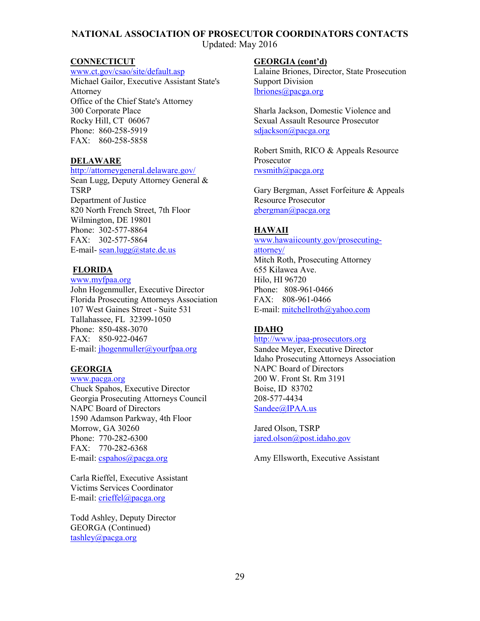Updated: May 2016

#### **CONNECTICUT**

[www.ct.gov/csao/site/default.asp](http://www.ct.gov/csao/site/default.asp)

Michael Gailor, Executive Assistant State's Attorney Office of the Chief State's Attorney 300 Corporate Place Rocky Hill, CT 06067 Phone: 860-258-5919 FAX: 860-258-5858

#### **DELAWARE**

#### <http://attorneygeneral.delaware.gov/>

Sean Lugg, Deputy Attorney General & TSRP Department of Justice 820 North French Street, 7th Floor Wilmington, DE 19801 Phone: 302-577-8864 FAX: 302-577-5864 E-mail- [sean.lugg@state.de.us](mailto:sean.lugg@state.de.us)

#### **FLORIDA**

[www.myfpaa.org](http://www.myfpaa.org/)  John Hogenmuller, Executive Director Florida Prosecuting Attorneys Association 107 West Gaines Street - Suite 531 Tallahassee, FL 32399-1050 Phone: 850-488-3070 FAX: 850-922-0467 E-mail[: jhogenmuller@yourfpaa.org](mailto:jhogenmuller@yourfpaa.org) 

#### **GEORGIA**

[www.pacga.org](http://www.pacga.org/) Chuck Spahos, Executive Director Georgia Prosecuting Attorneys Council NAPC Board of Directors 1590 Adamson Parkway, 4th Floor Morrow, GA 30260 Phone: 770-282-6300 FAX: 770-282-6368 E-mail[: cspahos@pacga.org](mailto:cspahos@pacga.org) 

Carla Rieffel, Executive Assistant Victims Services Coordinator E-mail[: crieffel@pacga.org](mailto:crieffel@pacga.org)

Todd Ashley, Deputy Director GEORGA (Continued) [tashley@pacga.org](mailto:tashley@pacga.org)

#### **GEORGIA (cont'd)**

Lalaine Briones, Director, State Prosecution Support Division [lbriones@pacga.org](mailto:lbriones@pacga.org)

Sharla Jackson, Domestic Violence and Sexual Assault Resource Prosecutor [sdjackson@pacga.org](mailto:sdjackson@pacga.org)

Robert Smith, RICO & Appeals Resource Prosecutor [rwsmith@pacga.org](mailto:rwsmith@pacga.org)

Gary Bergman, Asset Forfeiture & Appeals Resource Prosecutor [gbergman@pacga.org](mailto:gbergman@pacga.org)

#### **HAWAII**

[www.hawaiicounty.gov/prosecuting](http://www.hawaiicounty.gov/prosecuting-attorney/)[attorney/](http://www.hawaiicounty.gov/prosecuting-attorney/)

Mitch Roth, Prosecuting Attorney 655 Kilawea Ave. Hilo, HI 96720 Phone: 808-961-0466 FAX: 808-961-0466 E-mail[: mitchellroth@yahoo.com](mailto:mitchellroth@yahoo.com) 

#### **IDAHO**

#### [http://www.ipaa-prosecutors.org](http://www.ipaa-prosecutors.org/)

Sandee Meyer, Executive Director Idaho Prosecuting Attorneys Association NAPC Board of Directors 200 W. Front St. Rm 3191 Boise, ID 83702 208-577-4434 [Sandee@IPAA.us](mailto:Sandee@IPAA.us) 

Jared Olson, TSRP [jared.olson@post.idaho.gov](mailto:jared.olson@post.idaho.gov) 

Amy Ellsworth, Executive Assistant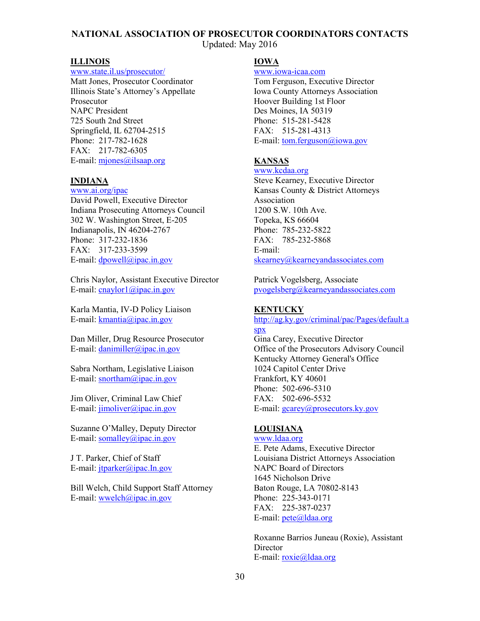Updated: May 2016

#### **ILLINOIS**

#### [www.state.il.us/prosecutor/](http://www.state.il.us/prosecutor/)

Matt Jones, Prosecutor Coordinator Illinois State's Attorney's Appellate Prosecutor NAPC President 725 South 2nd Street Springfield, IL 62704-2515 Phone: 217-782-1628 FAX: 217-782-6305 E-mail[: mjones@ilsaap.org](mailto:mjones@ilsaap.org) 

#### **INDIANA**

[www.ai.org/ipac](http://www.ai.org/ipac/) David Powell, Executive Director Indiana Prosecuting Attorneys Council 302 W. Washington Street, E-205 Indianapolis, IN 46204-2767 Phone: 317-232-1836 FAX: 317-233-3599 E-mail:  $d$ powell@ipac.in.gov

Chris Naylor, Assistant Executive Director E-mail:  $\frac{\text{cnavlor1}}{a\text{ipac.in.gov}}$ 

Karla Mantia, IV-D Policy Liaison E-mail:  $k$ mantia@ipac.in.gov

Dan Miller, Drug Resource Prosecutor E-mail[: danimiller@ipac.in.gov](mailto:danimiller@ipac.in.gov)

Sabra Northam, Legislative Liaison E-mail[: snortham@ipac.in.gov](mailto:snortham@ipac.in.gov)

Jim Oliver, Criminal Law Chief E-mail[: jimoliver@ipac.in.gov](mailto:jimoliver@ipac.in.gov)

Suzanne O'Malley, Deputy Director E-mail[: somalley@ipac.in.gov](mailto:somalley@ipac.in.gov) 

J T. Parker, Chief of Staff E-mail: [jtparker@ipac.In.gov](mailto:jtparker@ipac.In.gov) 

Bill Welch, Child Support Staff Attorney E-mail[: wwelch@ipac.in.gov](mailto:wwelch@ipac.in.gov)

#### **IOWA**

[www.iowa-icaa.com](http://www.iowa-icaa.com/)

Tom Ferguson, Executive Director Iowa County Attorneys Association Hoover Building 1st Floor Des Moines, IA 50319 Phone: 515-281-5428 FAX: 515-281-4313 E-mail[: tom.ferguson@iowa.gov](mailto:tom.ferguson@iowa.gov)

#### **KANSAS**

www.kcdaa.org

Steve Kearney, Executive Director Kansas County & District Attorneys Association 1200 S.W. 10th Ave. Topeka, KS 66604 Phone: 785-232-5822 FAX: 785-232-5868 E-mail: [skearney@kearneyandassociates.com](mailto:skearney@kearneyandassociates.com) 

Patrick Vogelsberg, Associate [pvogelsberg@kearneyandassociates.com](mailto:pvogelsberg@kearneyandassociates.com) 

#### **KENTUCKY**

[http://ag.ky.gov/criminal/pac/Pages/default.a](http://ag.ky.gov/criminal/pac/Pages/default.aspx) [spx](http://ag.ky.gov/criminal/pac/Pages/default.aspx) Gina Carey, Executive Director Office of the Prosecutors Advisory Council Kentucky Attorney General's Office 1024 Capitol Center Drive Frankfort, KY 40601 Phone: 502-696-5310 FAX: 502-696-5532 E-mail[: gcarey@prosecutors.ky.gov](mailto:gcarey@prosecutors.ky.gov) 

#### **LOUISIANA**

[www.ldaa.org](http://www.ldaa.org/) E. Pete Adams, Executive Director Louisiana District Attorneys Association NAPC Board of Directors 1645 Nicholson Drive Baton Rouge, LA 70802-8143 Phone: 225-343-0171 FAX: 225-387-0237 E-mail[: pete@ldaa.org](mailto:pete@ldaa.org)

Roxanne Barrios Juneau (Roxie), Assistant **Director** E-mail[: roxie@ldaa.org](mailto:roxie@ldaa.org)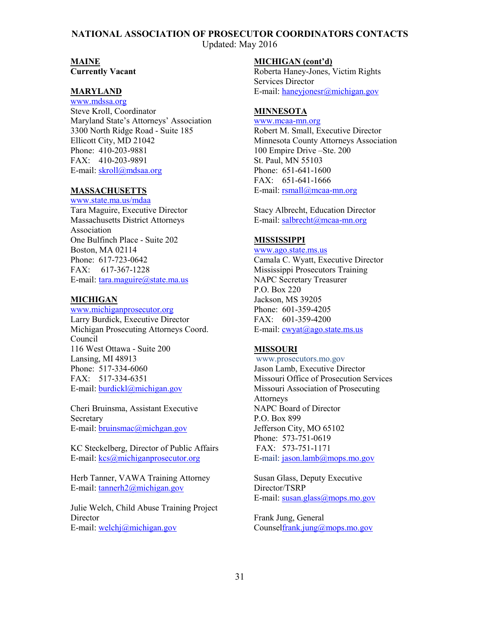Updated: May 2016

#### **MAINE**

**Currently Vacant** 

#### **MARYLAND**

[www.mdssa.org](http://www.mdssa.org/) Steve Kroll, Coordinator Maryland State's Attorneys' Association 3300 North Ridge Road - Suite 185 Ellicott City, MD 21042 Phone: 410-203-9881 FAX: 410-203-9891 E-mail[: skroll@mdsaa.org](mailto:skroll@mdsaa.org)

#### **MASSACHUSETTS**

[www.state.ma.us/mdaa](http://www.state.ma.us/mdaa/) Tara Maguire, Executive Director Massachusetts District Attorneys Association One Bulfinch Place - Suite 202 Boston, MA 02114 Phone: 617-723-0642 FAX: 617-367-1228 E-mail: [tara.maguire@state.ma.us](mailto:tara.maguire@state.ma.us) 

#### **MICHIGAN**

www[.michiganprosecutor.org](http://michiganprosecutor.org/) Larry Burdick, Executive Director Michigan Prosecuting Attorneys Coord. Council 116 West Ottawa - Suite 200 Lansing, MI 48913 Phone: 517-334-6060 FAX: 517-334-6351 E-mail[: burdickl@michigan.gov](mailto:burdickl@michigan.gov)

Cheri Bruinsma, Assistant Executive **Secretary** E-mail[: bruinsmac@michgan.gov](mailto:bruinsmac@michgan.gov)

KC Steckelberg, Director of Public Affairs E-mail[: kcs@michiganprosecutor.org](mailto:kcs@michiganprosecutor.org)

Herb Tanner, VAWA Training Attorney E-mail[: tannerh2@michigan.gov](mailto:tannerh2@michigan.gov) 

Julie Welch, Child Abuse Training Project **Director** E-mail[: welchj@michigan.gov](mailto:welchj@michigan.gov)

#### **MICHIGAN (cont'd)**

Roberta Haney-Jones, Victim Rights Services Director E-mail[: haneyjonesr@michigan.gov](mailto:haneyjonesr@michigan.gov)

#### **MINNESOTA**

[www.mcaa-mn.org](http://www.mcaa-mn.org/)  Robert M. Small, Executive Director Minnesota County Attorneys Association 100 Empire Drive –Ste. 200 St. Paul, MN 55103 Phone: 651-641-1600 FAX: 651-641-1666 E-mail[: rsmall@mcaa-mn.org](mailto:rsmall@mcaa-mn.org)

Stacy Albrecht, Education Director E-mail[: salbrecht@mcaa-mn.org](mailto:salbrecht@mcaa-mn.org) 

#### **MISSISSIPPI**

[www.ago.state.ms.us](http://www.ago.state.ms.us/) 

Camala C. Wyatt, Executive Director Mississippi Prosecutors Training NAPC Secretary Treasurer P.O. Box 220 Jackson, MS 39205 Phone: 601-359-4205 FAX: 601-359-4200 E-mail: cwyat@ago.state.ms.us

#### **MISSOURI**

 www.prosecutors.mo.gov Jason Lamb, Executive Director Missouri Office of Prosecution Services Missouri Association of Prosecuting Attorneys NAPC Board of Director P.O. Box 899 Jefferson City, MO 65102 Phone: 573-751-0619 FAX: 573-751-1171 E-mail[: jason.lamb@mops.mo.gov](mailto:jason.lamb@mops.mo.gov)

Susan Glass, Deputy Executive Director/TSRP E-mail[: susan.glass@mops.mo.gov](mailto:susan.glass@mops.mo.gov)

Frank Jung, General Counse[lfrank.jung@mops.mo.gov](mailto:frank.jung@mops.mo.gov)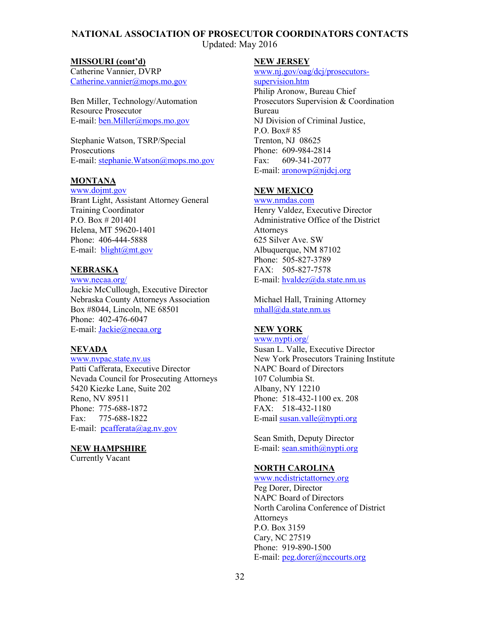Updated: May 2016

#### **MISSOURI (cont'd)**

Catherine Vannier, DVRP [Catherine.vannier@mops.mo.gov](mailto:Catherine.vannier@mops.mo.gov) 

Ben Miller, Technology/Automation Resource Prosecutor E-mail[: ben.Miller@mops.mo.gov](mailto:ben.Miller@mops.mo.gov) 

Stephanie Watson, TSRP/Special Prosecutions E-mail[: stephanie.Watson@mops.mo.gov](mailto:stephanie.Watson@mops.mo.gov) 

#### **MONTANA**

[www.dojmt.gov](http://www.dojmt.gov/) Brant Light, Assistant Attorney General Training Coordinator P.O. Box # 201401 Helena, MT 59620-1401 Phone: 406-444-5888 E-mail: [blight@mt.gov](mailto:blight@mt.gov) 

#### **NEBRASKA**

[www.necaa.org/](http://www.necaa.org/) Jackie McCullough, Executive Director Nebraska County Attorneys Association Box #8044, Lincoln, NE 68501 Phone: 402-476-6047 E-mail[: Jackie@necaa.org](mailto:Jackie@necaa.org) 

#### **NEVADA**

[www.nvpac.state.nv.us](http://www.nvpac.state.nv.us/)  Patti Cafferata, Executive Director Nevada Council for Prosecuting Attorneys 5420 Kiezke Lane, Suite 202 Reno, NV 89511 Phone: 775-688-1872 Fax: 775-688-1822 E-mail:  $pcafferata(\omega)$ ag.nv.gov

#### **NEW HAMPSHIRE**

Currently Vacant

#### **NEW JERSEY**

[www.nj.gov/oag/dcj/prosecutors](http://www.nj.gov/oag/dcj/prosecutors-supervision.htm)[supervision.htm](http://www.nj.gov/oag/dcj/prosecutors-supervision.htm) Philip Aronow, Bureau Chief Prosecutors Supervision & Coordination Bureau NJ Division of Criminal Justice, P.O. Box# 85 Trenton, NJ 08625 Phone: 609-984-2814 Fax: 609-341-2077 E-mail[: aronowp@njdcj.org](mailto:aronowp@njdcj.org) 

#### **NEW MEXICO**

[www.nmdas.com](http://www.nmdas.com/) Henry Valdez, Executive Director Administrative Office of the District **Attorneys** 625 Silver Ave. SW Albuquerque, NM 87102 Phone: 505-827-3789 FAX: 505-827-7578 E-mail[: hvaldez@da.state.nm.us](mailto:hvaldez@da.state.nm.us) 

Michael Hall, Training Attorney [mhall@da.state.nm.us](mailto:mhall@da.state.nm.us) 

#### **NEW YORK**

[www.nypti.org/](http://www.nypti.org/)

Susan L. Valle, Executive Director New York Prosecutors Training Institute NAPC Board of Directors 107 Columbia St. Albany, NY 12210 Phone: 518-432-1100 ex. 208 FAX: 518-432-1180 E-mail [susan.valle@nypti.org](mailto:susan.valle@nypti.org) 

Sean Smith, Deputy Director E-mail: sean.smith@nypti.org

#### **NORTH CAROLINA**

[www.ncdistrictattorney.org](http://www.ncdistrictattorney.org/)  Peg Dorer, Director NAPC Board of Directors North Carolina Conference of District Attorneys P.O. Box 3159 Cary, NC 27519 Phone: 919-890-1500 E-mail: [peg.dorer@nccourts.org](mailto:peg.dorer@nccourts.org)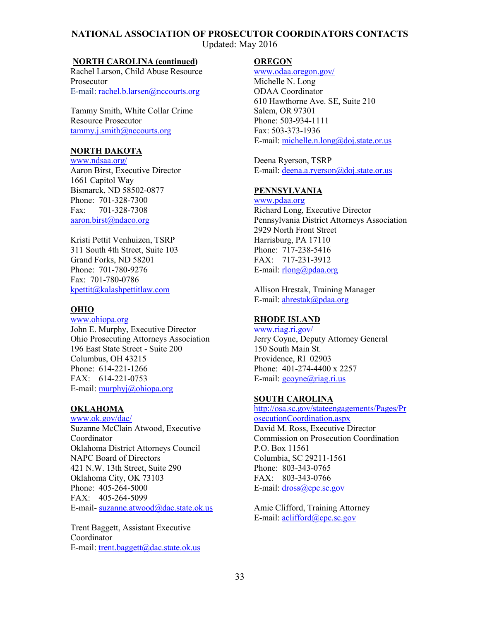Updated: May 2016

#### **NORTH CAROLINA (continued)**

Rachel Larson, Child Abuse Resource Prosecutor E-mail[: rachel.b.larsen@nccourts.org](mailto:rachel.b.larsen@nccourts.org)

Tammy Smith, White Collar Crime Resource Prosecutor [tammy.j.smith@nccourts.org](mailto:tammy.j.smith@nccourts.org)

#### **NORTH DAKOTA**

[www.ndsaa.org/](http://www.ndsaa.org/) Aaron Birst, Executive Director 1661 Capitol Way Bismarck, ND 58502-0877 Phone: 701-328-7300 Fax: 701-328-7308 [aaron.birst@ndaco.org](mailto:aaron.birst@ndaco.org)

Kristi Pettit Venhuizen, TSRP 311 South 4th Street, Suite 103 Grand Forks, ND 58201 Phone: 701-780-9276 Fax: 701-780-0786 [kpettit@kalashpettitlaw.com](mailto:kpettit@kalashpettitlaw.com)

#### **OHIO**

[www.ohiopa.org](http://www.ohiopa.org/) John E. Murphy, Executive Director Ohio Prosecuting Attorneys Association 196 East State Street - Suite 200 Columbus, OH 43215 Phone: 614-221-1266 FAX: 614-221-0753 E-mail: [murphyj@ohiopa.org](mailto:murphyj@ohiopa.org)

#### **OKLAHOMA**

[www.ok.gov/dac/](http://www.ok.gov/dac/) Suzanne McClain Atwood, Executive Coordinator Oklahoma District Attorneys Council NAPC Board of Directors 421 N.W. 13th Street, Suite 290 Oklahoma City, OK 73103 Phone: 405-264-5000 FAX: 405-264-5099 E-mail- [suzanne.atwood@dac.state.ok.us](mailto:suzanne.atwood@dac.state.ok.us) 

Trent Baggett, Assistant Executive Coordinator E-mail: [trent.baggett@dac.state.ok.us](mailto:trent.baggett@dac.state.ok.us)

#### **OREGON**

[www.odaa.oregon.gov/](http://odaa.oregon.gov/) Michelle N. Long ODAA Coordinator 610 Hawthorne Ave. SE, Suite 210 Salem, OR 97301 Phone: 503-934-1111 Fax: 503-373-1936 E-mail[: michelle.n.long@doj.state.or.us](mailto:michelle.n.long@doj.state.or.us)

Deena Ryerson, TSRP E-mail[: deena.a.ryerson@doj.state.or.us](mailto:deena.a.ryerson@doj.state.or.us)

#### **PENNSYLVANIA**

[www.pdaa.org](http://www.pdaa.org/) Richard Long, Executive Director Pennsylvania District Attorneys Association 2929 North Front Street Harrisburg, PA 17110 Phone: 717-238-5416 FAX: 717-231-3912 E-mail[: rlong@pdaa.org](mailto:rlong@pdaa.org) 

Allison Hrestak, Training Manager E-mail[: ahrestak@pdaa.org](mailto:ahrestak@pdaa.org) 

#### **RHODE ISLAND**

[www.riag.ri.gov/](http://www.riag.ri.gov/) Jerry Coyne, Deputy Attorney General 150 South Main St. Providence, RI 02903 Phone: 401-274-4400 x 2257 E-mail: [gcoyne@riag.ri.us](mailto:gcoyne@riag.ri.us)

#### **SOUTH CAROLINA**

[http://osa.sc.gov/stateengagements/Pages/Pr](http://osa.sc.gov/stateengagements/Pages/ProsecutionCoordination.aspx) [osecutionCoordination.aspx](http://osa.sc.gov/stateengagements/Pages/ProsecutionCoordination.aspx) David M. Ross, Executive Director Commission on Prosecution Coordination P.O. Box 11561 Columbia, SC 29211-1561 Phone: 803-343-0765 FAX: 803-343-0766 E-mail: dross@cpc.sc.gov

Amie Clifford, Training Attorney E-mail[: aclifford@cpc.sc.gov](mailto:aclifford@cpc.sc.gov)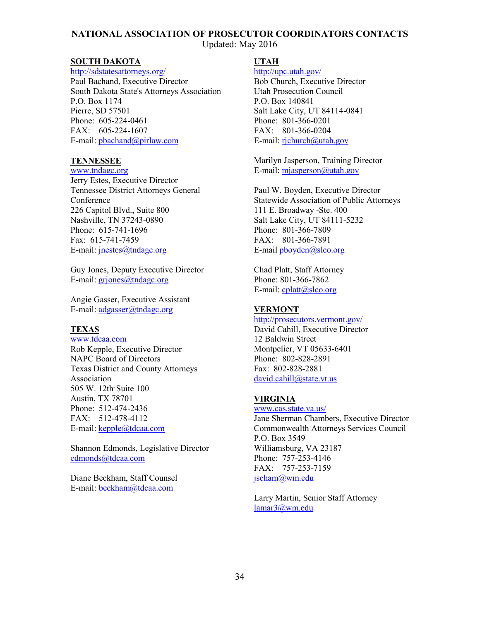Updated: May 2016

#### **SOUTH DAKOTA**

<http://sdstatesattorneys.org/> Paul Bachand, Executive Director South Dakota State's Attorneys Association P.O. Box 1174 Pierre, SD 57501 Phone: 605-224-0461 FAX: 605-224-1607 E-mail[: pbachand@pirlaw.com](mailto:pbachand@pirlaw.com) 

#### **TENNESSEE**

[www.tndagc.org](http://www.tndagc.org/)

Jerry Estes, Executive Director Tennessee District Attorneys General **Conference** 226 Capitol Blvd., Suite 800 Nashville, TN 37243-0890 Phone: 615-741-1696 Fax: 615-741-7459 E-mail[: jnestes@tndagc.org](mailto:jnestes@tndagc.org)

Guy Jones, Deputy Executive Director E-mail: griones@tndagc.org

Angie Gasser, Executive Assistant E-mail: adgasser@tndagc.org

#### **TEXAS**

[www.tdcaa.com](http://www.tdcaa.com/) Rob Kepple, Executive Director NAPC Board of Directors Texas District and County Attorneys Association 505 W. 12th Suite 100 Austin, TX 78701 Phone: 512-474-2436 FAX: 512-478-4112 E-mail[: kepple@tdcaa.com](mailto:kepple@tdcaa.com)

Shannon Edmonds, Legislative Director [edmonds@tdcaa.com](mailto:edmonds@tdcaa.com) 

Diane Beckham, Staff Counsel E-mail: [beckham@tdcaa.com](mailto:beckham@tdcaa.com)

#### **UTAH**

<http://upc.utah.gov/> Bob Church, Executive Director Utah Prosecution Council P.O. Box 140841 Salt Lake City, UT 84114-0841 Phone: 801-366-0201 FAX: 801-366-0204 E-mail:  $richurch@utah.gov$ 

Marilyn Jasperson, Training Director E-mail[: mjasperson@utah.gov](mailto:mjasperson@utah.gov) 

Paul W. Boyden, Executive Director Statewide Association of Public Attorneys 111 E. Broadway -Ste. 400 Salt Lake City, UT 84111-5232 Phone: 801-366-7809 FAX: 801-366-7891 E-mail [pboyden@slco.org](mailto:pboyden@slco.org) 

Chad Platt, Staff Attorney Phone: 801-366-7862 E-mail[: cplatt@slco.org](mailto:cplatt@slco.org) 

#### **VERMONT**

<http://prosecutors.vermont.gov/> David Cahill, Executive Director 12 Baldwin Street Montpelier, VT 05633-6401 Phone: 802-828-2891 Fax: 802-828-2881 [david.cahill@state.vt.us](mailto:david.cahill@state.vt.us)

#### **VIRGINIA**

[www.cas.state.va.us/](http://www.cas.state.va.us/) Jane Sherman Chambers, Executive Director Commonwealth Attorneys Services Council P.O. Box 3549 Williamsburg, VA 23187 Phone: 757-253-4146 FAX: 757-253-7159 [jscham@wm.edu](mailto:jscham@wm.edu) 

Larry Martin, Senior Staff Attorney [lamar3@wm.edu](mailto:lamar3@wm.edu)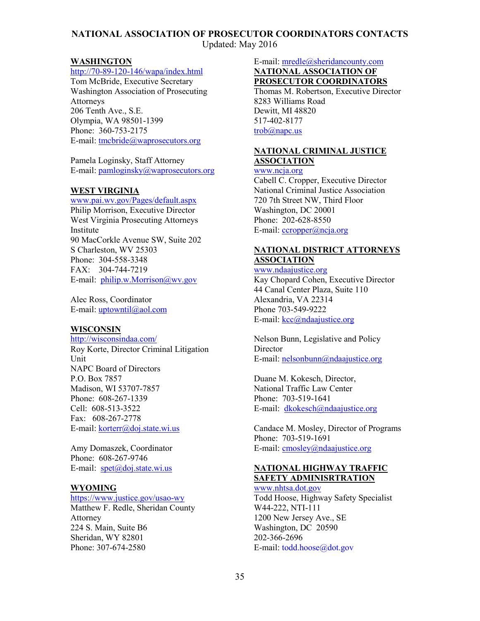Updated: May 2016

#### **WASHINGTON**

#### [http://70-89-120-146/wapa/index.html](http://70.89.120.146/wapa/index.html)

Tom McBride, Executive Secretary Washington Association of Prosecuting Attorneys 206 Tenth Ave., S.E. Olympia, WA 98501-1399 Phone: 360-753-2175 E-mail[: tmcbride@waprosecutors.org](mailto:tmcbride@waprosecutors.org) 

Pamela Loginsky, Staff Attorney E-mail[: pamloginsky@waprosecutors.org](mailto:pamloginsky@waprosecutors.org)

#### **WEST VIRGINIA**

[www.pai.wv.gov/Pages/default.aspx](http://www.pai.wv.gov/Pages/default.aspx) Philip Morrison, Executive Director West Virginia Prosecuting Attorneys Institute 90 MacCorkle Avenue SW, Suite 202 S Charleston, WV 25303 Phone: 304-558-3348 FAX: 304-744-7219 E-mail: [philip.w.Morrison@wv.gov](mailto:philip.w.Morrison@wv.gov) 

Alec Ross, Coordinator E-mail: uptowntil@aol.com

#### **WISCONSIN**

<http://wisconsindaa.com/> Roy Korte, Director Criminal Litigation Unit NAPC Board of Directors P.O. Box 7857 Madison, WI 53707-7857 Phone: 608-267-1339 Cell: 608-513-3522 Fax: 608-267-2778 E-mail[: korterr@doj.state.wi.us](mailto:korterr@doj.state.wi.us) 

Amy Domaszek, Coordinator Phone: 608-267-9746 E-mail:  $\text{spect}(\partial_{\Omega} \text{do} \text{ is} \text{tate} \text{.} \text{w} \text{.} \text{us})$ 

#### **WYOMING**

<https://www.justice.gov/usao-wy> Matthew F. Redle, Sheridan County Attorney 224 S. Main, Suite B6 Sheridan, WY 82801 Phone: 307-674-2580

E-mail[: mredle@sheridancounty.com](mailto:mredle@sheridancounty.com)

#### **NATIONAL ASSOCIATION OF PROSECUTOR COORDINATORS**

Thomas M. Robertson, Executive Director 8283 Williams Road Dewitt, MI 48820 517-402-8177 [trob@napc.us](mailto:trob@napc.us)

#### **NATIONAL CRIMINAL JUSTICE ASSOCIATION**

[www.ncja.org](http://www.ncja.org/)

Cabell C. Cropper, Executive Director National Criminal Justice Association 720 7th Street NW, Third Floor Washington, DC 20001 Phone: 202-628-8550 E-mail[: ccropper@ncja.org](mailto:ccropper@ncja.org)

#### **NATIONAL DISTRICT ATTORNEYS ASSOCIATION**

[www.ndaajustice.org](http://www.ndaajustice.org/) Kay Chopard Cohen, Executive Director 44 Canal Center Plaza, Suite 110 Alexandria, VA 22314 Phone 703-549-9222 E-mail[: kcc@ndaajustice.org](mailto:kcc@ndaajustice.org)

Nelson Bunn, Legislative and Policy **Director** E-mail[: nelsonbunn@ndaajustice.org](mailto:nelsonbunn@ndaajustice.org)

Duane M. Kokesch, Director, National Traffic Law Center Phone: 703-519-1641 E-mail: [dkokesch@ndaajustice.org](mailto:dkokesch@ndaajustice.org)

Candace M. Mosley, Director of Programs Phone: 703-519-1691 E-mail: cmosley@ndaajustice.org

#### **NATIONAL HIGHWAY TRAFFIC SAFETY ADMINISRTRATION**

[www.nhtsa.dot.gov](http://www.nhtsa.dot.gov/) Todd Hoose, Highway Safety Specialist W44-222, NTI-111 1200 New Jersey Ave., SE Washington, DC 20590 202-366-2696 E-mail[: todd.hoose@dot.gov](mailto:todd.hoose@dot.gov)